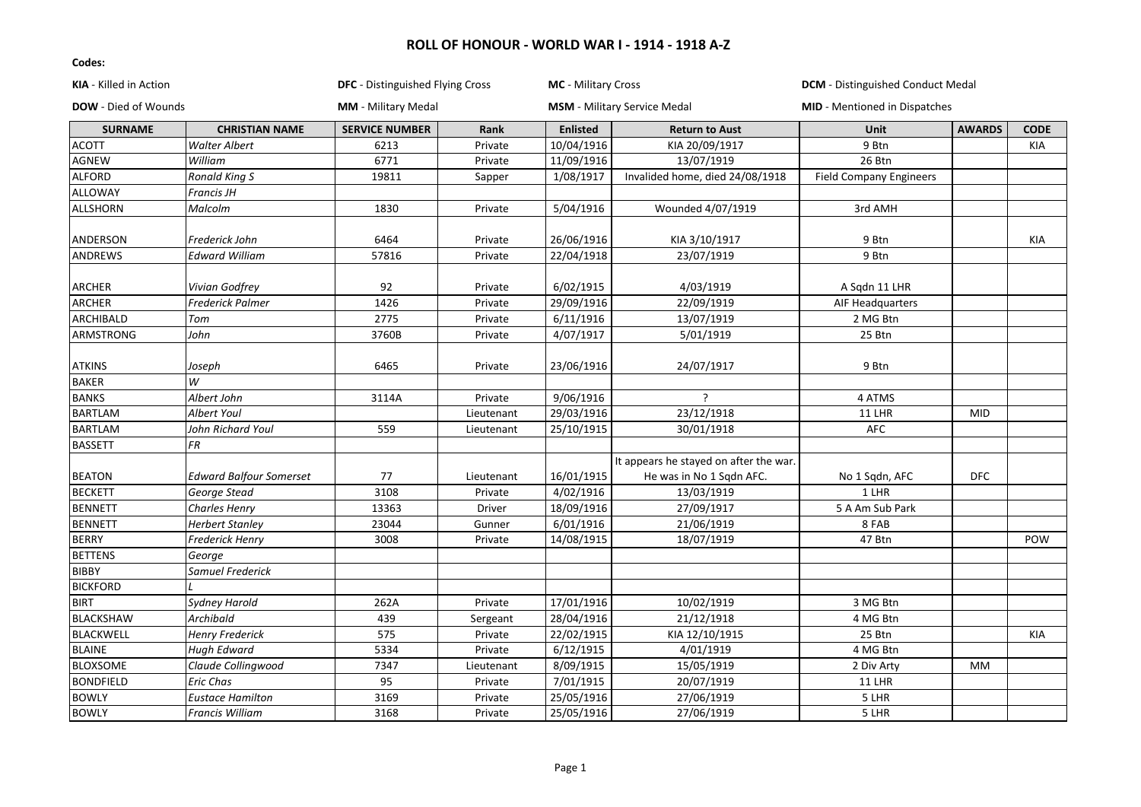| KIA - Killed in Action      |                                | DFC - Distinguished Flying Cross |            | MC - Military Cross |                                        | <b>DCM</b> - Distinguished Conduct Medal |               |             |
|-----------------------------|--------------------------------|----------------------------------|------------|---------------------|----------------------------------------|------------------------------------------|---------------|-------------|
| <b>DOW</b> - Died of Wounds |                                | <b>MM</b> - Military Medal       |            |                     | <b>MSM</b> - Military Service Medal    | <b>MID</b> - Mentioned in Dispatches     |               |             |
| <b>SURNAME</b>              | <b>CHRISTIAN NAME</b>          | <b>SERVICE NUMBER</b>            | Rank       | <b>Enlisted</b>     | <b>Return to Aust</b>                  | Unit                                     | <b>AWARDS</b> | <b>CODE</b> |
| <b>ACOTT</b>                | <b>Walter Albert</b>           | 6213                             | Private    | 10/04/1916          | KIA 20/09/1917                         | 9 Btn                                    |               | <b>KIA</b>  |
| <b>AGNEW</b>                | William                        | 6771                             | Private    | 11/09/1916          | 13/07/1919                             | 26 Btn                                   |               |             |
| <b>ALFORD</b>               | <b>Ronald King S</b>           | 19811                            | Sapper     | 1/08/1917           | Invalided home, died 24/08/1918        | <b>Field Company Engineers</b>           |               |             |
| ALLOWAY                     | Francis JH                     |                                  |            |                     |                                        |                                          |               |             |
| <b>ALLSHORN</b>             | Malcolm                        | 1830                             | Private    | 5/04/1916           | Wounded 4/07/1919                      | 3rd AMH                                  |               |             |
| ANDERSON                    | Frederick John                 | 6464                             | Private    | 26/06/1916          | KIA 3/10/1917                          | 9 Btn                                    |               | KIA         |
| ANDREWS                     | <b>Edward William</b>          | 57816                            | Private    | 22/04/1918          | 23/07/1919                             | 9 Btn                                    |               |             |
| ARCHER                      | Vivian Godfrey                 | 92                               | Private    | 6/02/1915           | 4/03/1919                              | A Sqdn 11 LHR                            |               |             |
| <b>ARCHER</b>               | <b>Frederick Palmer</b>        | 1426                             | Private    | 29/09/1916          | 22/09/1919                             | AIF Headquarters                         |               |             |
| ARCHIBALD                   | Tom                            | 2775                             | Private    | 6/11/1916           | 13/07/1919                             | 2 MG Btn                                 |               |             |
| ARMSTRONG                   | John                           | 3760B                            | Private    | 4/07/1917           | 5/01/1919                              | 25 Btn                                   |               |             |
|                             |                                |                                  |            |                     |                                        |                                          |               |             |
| <b>ATKINS</b>               | Joseph                         | 6465                             | Private    | 23/06/1916          | 24/07/1917                             | 9 Btn                                    |               |             |
| <b>BAKER</b>                | W                              |                                  |            |                     |                                        |                                          |               |             |
| <b>BANKS</b>                | Albert John                    | 3114A                            | Private    | 9/06/1916           | $\overline{\phantom{a}}$               | 4 ATMS                                   |               |             |
| <b>BARTLAM</b>              | Albert Youl                    |                                  | Lieutenant | 29/03/1916          | 23/12/1918                             | <b>11 LHR</b>                            | <b>MID</b>    |             |
| <b>BARTLAM</b>              | John Richard Youl              | 559                              | Lieutenant | 25/10/1915          | 30/01/1918                             | <b>AFC</b>                               |               |             |
| <b>BASSETT</b>              | FR                             |                                  |            |                     |                                        |                                          |               |             |
|                             |                                |                                  |            |                     | It appears he stayed on after the war. |                                          |               |             |
| <b>BEATON</b>               | <b>Edward Balfour Somerset</b> | 77                               | Lieutenant | 16/01/1915          | He was in No 1 Sqdn AFC.               | No 1 Sqdn, AFC                           | <b>DFC</b>    |             |
| <b>BECKETT</b>              | George Stead                   | 3108                             | Private    | 4/02/1916           | 13/03/1919                             | 1 LHR                                    |               |             |
| <b>BENNETT</b>              | Charles Henry                  | 13363                            | Driver     | 18/09/1916          | 27/09/1917                             | 5 A Am Sub Park                          |               |             |
| <b>BENNETT</b>              | <b>Herbert Stanley</b>         | 23044                            | Gunner     | 6/01/1916           | 21/06/1919                             | 8 FAB                                    |               |             |
| <b>BERRY</b>                | Frederick Henry                | 3008                             | Private    | 14/08/1915          | 18/07/1919                             | 47 Btn                                   |               | POW         |
| <b>BETTENS</b>              | George                         |                                  |            |                     |                                        |                                          |               |             |
| <b>BIBBY</b>                | Samuel Frederick               |                                  |            |                     |                                        |                                          |               |             |
| <b>BICKFORD</b>             |                                |                                  |            |                     |                                        |                                          |               |             |
| <b>BIRT</b>                 | <b>Sydney Harold</b>           | 262A                             | Private    | 17/01/1916          | 10/02/1919                             | 3 MG Btn                                 |               |             |
| <b>BLACKSHAW</b>            | Archibald                      | 439                              | Sergeant   | 28/04/1916          | 21/12/1918                             | 4 MG Btn                                 |               |             |
| <b>BLACKWELL</b>            | <b>Henry Frederick</b>         | 575                              | Private    | 22/02/1915          | KIA 12/10/1915                         | 25 Btn                                   |               | KIA         |
| <b>BLAINE</b>               | <b>Hugh Edward</b>             | 5334                             | Private    | 6/12/1915           | 4/01/1919                              | 4 MG Btn                                 |               |             |
| <b>BLOXSOME</b>             | Claude Collingwood             | 7347                             | Lieutenant | 8/09/1915           | 15/05/1919                             | 2 Div Arty                               | MM            |             |
| <b>BONDFIELD</b>            | Eric Chas                      | 95                               | Private    | 7/01/1915           | 20/07/1919                             | <b>11 LHR</b>                            |               |             |
| <b>BOWLY</b>                | <b>Eustace Hamilton</b>        | 3169                             | Private    | 25/05/1916          | 27/06/1919                             | 5 LHR                                    |               |             |
| <b>BOWLY</b>                | Francis William                | 3168                             | Private    | 25/05/1916          | 27/06/1919                             | 5 LHR                                    |               |             |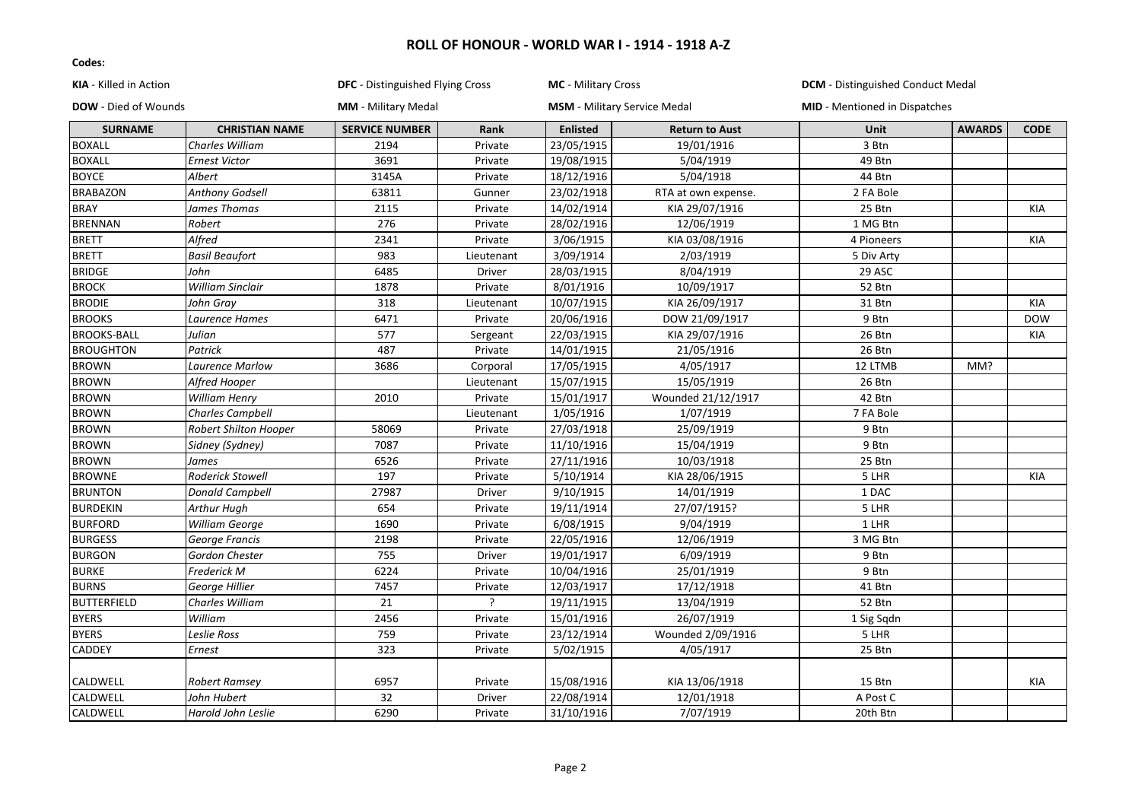| KIA - Killed in Action      |                         | DFC - Distinguished Flying Cross |            | <b>MC</b> - Military Cross |                                     | <b>DCM</b> - Distinguished Conduct Medal |               |             |
|-----------------------------|-------------------------|----------------------------------|------------|----------------------------|-------------------------------------|------------------------------------------|---------------|-------------|
| <b>DOW</b> - Died of Wounds |                         | <b>MM</b> - Military Medal       |            |                            | <b>MSM</b> - Military Service Medal | <b>MID</b> - Mentioned in Dispatches     |               |             |
| <b>SURNAME</b>              | <b>CHRISTIAN NAME</b>   | <b>SERVICE NUMBER</b>            | Rank       | <b>Enlisted</b>            | <b>Return to Aust</b>               | <b>Unit</b>                              | <b>AWARDS</b> | <b>CODE</b> |
| <b>BOXALL</b>               | <b>Charles William</b>  | 2194                             | Private    | 23/05/1915                 | 19/01/1916                          | 3 Btn                                    |               |             |
| <b>BOXALL</b>               | <b>Ernest Victor</b>    | 3691                             | Private    | 19/08/1915                 | 5/04/1919                           | 49 Btn                                   |               |             |
| <b>BOYCE</b>                | Albert                  | 3145A                            | Private    | 18/12/1916                 | 5/04/1918                           | 44 Btn                                   |               |             |
| <b>BRABAZON</b>             | <b>Anthony Godsell</b>  | 63811                            | Gunner     | 23/02/1918                 | RTA at own expense.                 | 2 FA Bole                                |               |             |
| <b>BRAY</b>                 | James Thomas            | 2115                             | Private    | 14/02/1914                 | KIA 29/07/1916                      | 25 Btn                                   |               | KIA         |
| <b>BRENNAN</b>              | Robert                  | 276                              | Private    | 28/02/1916                 | 12/06/1919                          | 1 MG Btn                                 |               |             |
| <b>BRETT</b>                | Alfred                  | 2341                             | Private    | 3/06/1915                  | KIA 03/08/1916                      | 4 Pioneers                               |               | KIA         |
| <b>BRETT</b>                | <b>Basil Beaufort</b>   | 983                              | Lieutenant | 3/09/1914                  | 2/03/1919                           | 5 Div Arty                               |               |             |
| <b>BRIDGE</b>               | John                    | 6485                             | Driver     | 28/03/1915                 | 8/04/1919                           | 29 ASC                                   |               |             |
| <b>BROCK</b>                | <b>William Sinclair</b> | 1878                             | Private    | 8/01/1916                  | 10/09/1917                          | 52 Btn                                   |               |             |
| <b>BRODIE</b>               | John Grav               | 318                              | Lieutenant | 10/07/1915                 | KIA 26/09/1917                      | 31 Btn                                   |               | KIA         |
| <b>BROOKS</b>               | Laurence Hames          | 6471                             | Private    | 20/06/1916                 | DOW 21/09/1917                      | 9 Btn                                    |               | <b>DOW</b>  |
| <b>BROOKS-BALL</b>          | Julian                  | 577                              | Sergeant   | 22/03/1915                 | KIA 29/07/1916                      | 26 Btn                                   |               | KIA         |
| <b>BROUGHTON</b>            | Patrick                 | 487                              | Private    | 14/01/1915                 | 21/05/1916                          | 26 Btn                                   |               |             |
| <b>BROWN</b>                | Laurence Marlow         | 3686                             | Corporal   | 17/05/1915                 | 4/05/1917                           | 12 LTMB                                  | MM?           |             |
| <b>BROWN</b>                | Alfred Hooper           |                                  | Lieutenant | 15/07/1915                 | 15/05/1919                          | 26 Btn                                   |               |             |
| <b>BROWN</b>                | <b>William Henry</b>    | 2010                             | Private    | 15/01/1917                 | Wounded 21/12/1917                  | 42 Btn                                   |               |             |
| <b>BROWN</b>                | <b>Charles Campbell</b> |                                  | Lieutenant | 1/05/1916                  | 1/07/1919                           | 7 FA Bole                                |               |             |
| <b>BROWN</b>                | Robert Shilton Hooper   | 58069                            | Private    | 27/03/1918                 | 25/09/1919                          | 9 Btn                                    |               |             |
| <b>BROWN</b>                | Sidney (Sydney)         | 7087                             | Private    | 11/10/1916                 | 15/04/1919                          | 9 Btn                                    |               |             |
| <b>BROWN</b>                | James                   | 6526                             | Private    | 27/11/1916                 | 10/03/1918                          | 25 Btn                                   |               |             |
| <b>BROWNE</b>               | Roderick Stowell        | 197                              | Private    | 5/10/1914                  | KIA 28/06/1915                      | 5 LHR                                    |               | KIA         |
| <b>BRUNTON</b>              | <b>Donald Campbell</b>  | 27987                            | Driver     | 9/10/1915                  | 14/01/1919                          | 1 DAC                                    |               |             |
| <b>BURDEKIN</b>             | Arthur Hugh             | 654                              | Private    | 19/11/1914                 | 27/07/1915?                         | 5 LHR                                    |               |             |
| <b>BURFORD</b>              | William George          | 1690                             | Private    | 6/08/1915                  | 9/04/1919                           | 1 LHR                                    |               |             |
| <b>BURGESS</b>              | George Francis          | 2198                             | Private    | 22/05/1916                 | 12/06/1919                          | 3 MG Btn                                 |               |             |
| <b>BURGON</b>               | Gordon Chester          | 755                              | Driver     | 19/01/1917                 | 6/09/1919                           | 9 Btn                                    |               |             |
| <b>BURKE</b>                | Frederick M             | 6224                             | Private    | 10/04/1916                 | 25/01/1919                          | 9 Btn                                    |               |             |
| <b>BURNS</b>                | George Hillier          | 7457                             | Private    | 12/03/1917                 | 17/12/1918                          | 41 Btn                                   |               |             |
| <b>BUTTERFIELD</b>          | Charles William         | 21                               |            | 19/11/1915                 | 13/04/1919                          | 52 Btn                                   |               |             |
| <b>BYERS</b>                | William                 | 2456                             | Private    | 15/01/1916                 | 26/07/1919                          | 1 Sig Sqdn                               |               |             |
| <b>BYERS</b>                | <b>Leslie Ross</b>      | 759                              | Private    | 23/12/1914                 | Wounded 2/09/1916                   | 5 LHR                                    |               |             |
| <b>CADDEY</b>               | Ernest                  | 323                              | Private    | 5/02/1915                  | 4/05/1917                           | 25 Btn                                   |               |             |
| CALDWELL                    | <b>Robert Ramsey</b>    | 6957                             | Private    | 15/08/1916                 | KIA 13/06/1918                      | 15 Btn                                   |               | KIA         |
| CALDWELL                    | John Hubert             | 32                               | Driver     | 22/08/1914                 | 12/01/1918                          | A Post C                                 |               |             |
| CALDWELL                    | Harold John Leslie      | 6290                             | Private    | 31/10/1916                 | 7/07/1919                           | 20th Btn                                 |               |             |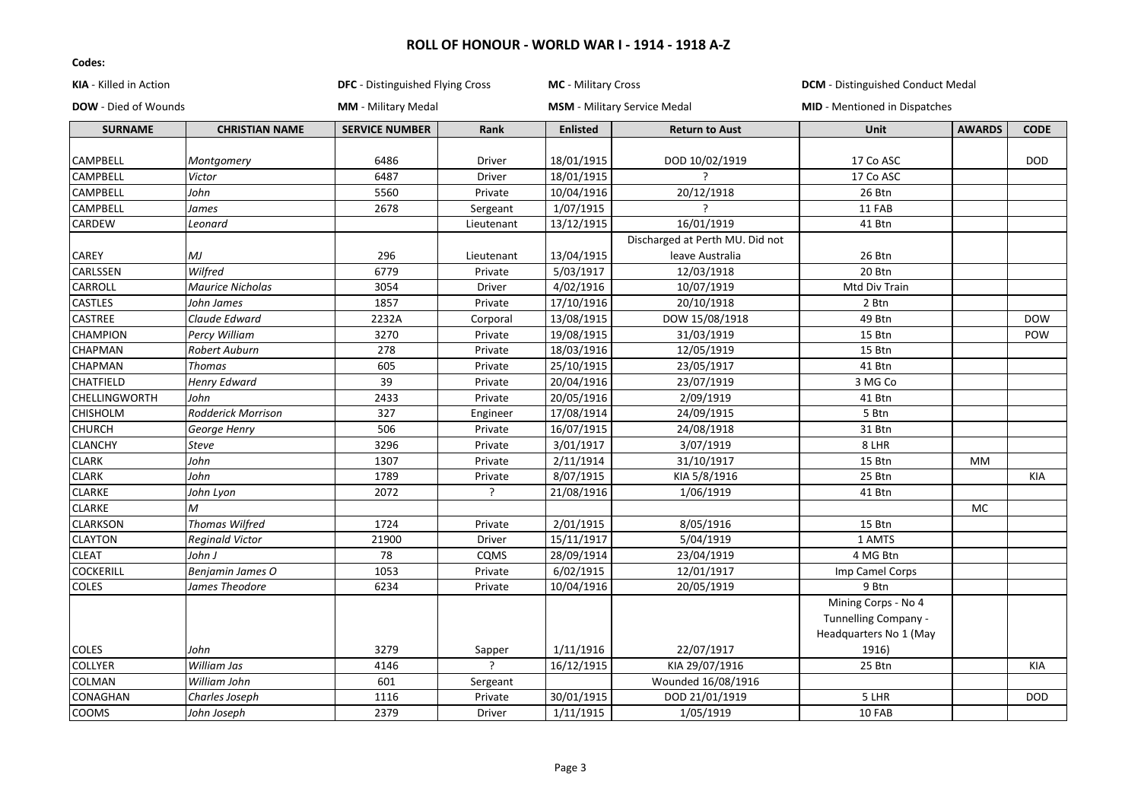| <b>DOW</b> - Died of Wounds<br><b>MM</b> - Military Medal<br><b>MSM</b> - Military Service Medal<br><b>MID</b> - Mentioned in Dispatches<br><b>SERVICE NUMBER</b><br>Rank<br><b>AWARDS</b><br><b>CODE</b><br><b>SURNAME</b><br><b>CHRISTIAN NAME</b><br><b>Enlisted</b><br><b>Return to Aust</b><br>Unit<br>CAMPBELL<br>6486<br>18/01/1915<br>DOD 10/02/1919<br>17 Co ASC<br><b>DOD</b><br>Driver<br>Montgomery<br>CAMPBELL<br>6487<br>18/01/1915<br>17 Co ASC<br>Victor<br>Driver<br>CAMPBELL<br>John<br>5560<br>Private<br>10/04/1916<br>20/12/1918<br>26 Btn<br>CAMPBELL<br>2678<br>1/07/1915<br>James<br>11 FAB<br>Sergeant<br>CARDEW<br>13/12/1915<br>16/01/1919<br>41 Btn<br>Leonard<br>Lieutenant<br>Discharged at Perth MU. Did not<br>CAREY<br>MJ<br>13/04/1915<br>296<br>leave Australia<br>26 Btn<br>Lieutenant<br>Wilfred<br>CARLSSEN<br>6779<br>5/03/1917<br>20 Btn<br>Private<br>12/03/1918<br>CARROLL<br><b>Maurice Nicholas</b><br>3054<br><b>Driver</b><br>4/02/1916<br>10/07/1919<br>Mtd Div Train<br>CASTLES<br>1857<br>17/10/1916<br>Private<br>20/10/1918<br>2 Btn<br>John James<br>CASTREE<br>2232A<br>13/08/1915<br>Claude Edward<br>Corporal<br>DOW 15/08/1918<br>49 Btn<br><b>DOW</b><br>19/08/1915<br>CHAMPION<br>Percy William<br>3270<br>Private<br>31/03/1919<br>15 Btn<br>POW<br>18/03/1916<br>CHAPMAN<br>278<br>12/05/1919<br>15 Btn<br>Robert Auburn<br>Private<br>CHAPMAN<br>25/10/1915<br>Thomas<br>605<br>Private<br>23/05/1917<br>41 Btn<br>CHATFIELD<br>39<br>20/04/1916<br>Henry Edward<br>Private<br>23/07/1919<br>3 MG Co<br>CHELLINGWORTH<br>2433<br>20/05/1916<br>2/09/1919<br>John<br>Private<br>41 Btn<br>327<br>17/08/1914<br>24/09/1915<br>5 Btn<br><b>CHISHOLM</b><br>Rodderick Morrison<br>Engineer<br>CHURCH<br>506<br>16/07/1915<br>24/08/1918<br>Private<br>31 Btn<br>George Henry<br>3/01/1917<br><b>CLANCHY</b><br>3296<br>3/07/1919<br>8 LHR<br><b>Steve</b><br>Private<br>CLARK<br>John<br>2/11/1914<br>1307<br>Private<br>31/10/1917<br>15 Btn<br><b>MM</b><br><b>CLARK</b><br>John<br>8/07/1915<br>1789<br>KIA 5/8/1916<br>25 Btn<br>Private<br>KIA<br><b>CLARKE</b><br>?<br>John Lyon<br>2072<br>21/08/1916<br>1/06/1919<br>41 Btn<br><b>CLARKE</b><br>М<br><b>MC</b><br><b>CLARKSON</b><br>Thomas Wilfred<br>1724<br>2/01/1915<br>8/05/1916<br>15 Btn<br>Private<br><b>CLAYTON</b><br>15/11/1917<br>5/04/1919<br>1 AMTS<br>21900<br>Reginald Victor<br>Driver<br>28/09/1914<br><b>CLEAT</b><br>John J<br>78<br>CQMS<br>23/04/1919<br>4 MG Btn<br><b>COCKERILL</b><br>1053<br>6/02/1915<br>Benjamin James O<br>Private<br>12/01/1917<br>Imp Camel Corps<br>COLES<br>6234<br>20/05/1919<br>James Theodore<br>Private<br>10/04/1916<br>9 Btn<br>Mining Corps - No 4<br>Tunnelling Company -<br>Headquarters No 1 (May<br>1/11/1916<br><b>COLES</b><br>John<br>3279<br>22/07/1917<br>1916)<br>Sapper<br>$\overline{\phantom{a}}$<br><b>COLLYER</b><br>William Jas<br>4146<br>16/12/1915<br>KIA 29/07/1916<br>25 Btn<br>KIA<br>COLMAN<br>William John<br>601<br>Wounded 16/08/1916<br>Sergeant<br>CONAGHAN<br>1116<br>30/01/1915<br>DOD 21/01/1919<br>5 LHR<br>Charles Joseph<br>Private<br><b>DOD</b><br>COOMS<br>2379<br>1/11/1915<br>1/05/1919<br>10 FAB<br>John Joseph<br>Driver | KIA - Killed in Action | DFC - Distinguished Flying Cross | MC - Military Cross | <b>DCM</b> - Distinguished Conduct Medal |  |  |
|--------------------------------------------------------------------------------------------------------------------------------------------------------------------------------------------------------------------------------------------------------------------------------------------------------------------------------------------------------------------------------------------------------------------------------------------------------------------------------------------------------------------------------------------------------------------------------------------------------------------------------------------------------------------------------------------------------------------------------------------------------------------------------------------------------------------------------------------------------------------------------------------------------------------------------------------------------------------------------------------------------------------------------------------------------------------------------------------------------------------------------------------------------------------------------------------------------------------------------------------------------------------------------------------------------------------------------------------------------------------------------------------------------------------------------------------------------------------------------------------------------------------------------------------------------------------------------------------------------------------------------------------------------------------------------------------------------------------------------------------------------------------------------------------------------------------------------------------------------------------------------------------------------------------------------------------------------------------------------------------------------------------------------------------------------------------------------------------------------------------------------------------------------------------------------------------------------------------------------------------------------------------------------------------------------------------------------------------------------------------------------------------------------------------------------------------------------------------------------------------------------------------------------------------------------------------------------------------------------------------------------------------------------------------------------------------------------------------------------------------------------------------------------------------------------------------------------------------------------------------------------------------------------------------------------------------------------------------------------------------------------------------------------------------------------------------------------------------------------------------------------------------------------------------------------------------------------------------------------------------|------------------------|----------------------------------|---------------------|------------------------------------------|--|--|
|                                                                                                                                                                                                                                                                                                                                                                                                                                                                                                                                                                                                                                                                                                                                                                                                                                                                                                                                                                                                                                                                                                                                                                                                                                                                                                                                                                                                                                                                                                                                                                                                                                                                                                                                                                                                                                                                                                                                                                                                                                                                                                                                                                                                                                                                                                                                                                                                                                                                                                                                                                                                                                                                                                                                                                                                                                                                                                                                                                                                                                                                                                                                                                                                                                            |                        |                                  |                     |                                          |  |  |
|                                                                                                                                                                                                                                                                                                                                                                                                                                                                                                                                                                                                                                                                                                                                                                                                                                                                                                                                                                                                                                                                                                                                                                                                                                                                                                                                                                                                                                                                                                                                                                                                                                                                                                                                                                                                                                                                                                                                                                                                                                                                                                                                                                                                                                                                                                                                                                                                                                                                                                                                                                                                                                                                                                                                                                                                                                                                                                                                                                                                                                                                                                                                                                                                                                            |                        |                                  |                     |                                          |  |  |
|                                                                                                                                                                                                                                                                                                                                                                                                                                                                                                                                                                                                                                                                                                                                                                                                                                                                                                                                                                                                                                                                                                                                                                                                                                                                                                                                                                                                                                                                                                                                                                                                                                                                                                                                                                                                                                                                                                                                                                                                                                                                                                                                                                                                                                                                                                                                                                                                                                                                                                                                                                                                                                                                                                                                                                                                                                                                                                                                                                                                                                                                                                                                                                                                                                            |                        |                                  |                     |                                          |  |  |
|                                                                                                                                                                                                                                                                                                                                                                                                                                                                                                                                                                                                                                                                                                                                                                                                                                                                                                                                                                                                                                                                                                                                                                                                                                                                                                                                                                                                                                                                                                                                                                                                                                                                                                                                                                                                                                                                                                                                                                                                                                                                                                                                                                                                                                                                                                                                                                                                                                                                                                                                                                                                                                                                                                                                                                                                                                                                                                                                                                                                                                                                                                                                                                                                                                            |                        |                                  |                     |                                          |  |  |
|                                                                                                                                                                                                                                                                                                                                                                                                                                                                                                                                                                                                                                                                                                                                                                                                                                                                                                                                                                                                                                                                                                                                                                                                                                                                                                                                                                                                                                                                                                                                                                                                                                                                                                                                                                                                                                                                                                                                                                                                                                                                                                                                                                                                                                                                                                                                                                                                                                                                                                                                                                                                                                                                                                                                                                                                                                                                                                                                                                                                                                                                                                                                                                                                                                            |                        |                                  |                     |                                          |  |  |
|                                                                                                                                                                                                                                                                                                                                                                                                                                                                                                                                                                                                                                                                                                                                                                                                                                                                                                                                                                                                                                                                                                                                                                                                                                                                                                                                                                                                                                                                                                                                                                                                                                                                                                                                                                                                                                                                                                                                                                                                                                                                                                                                                                                                                                                                                                                                                                                                                                                                                                                                                                                                                                                                                                                                                                                                                                                                                                                                                                                                                                                                                                                                                                                                                                            |                        |                                  |                     |                                          |  |  |
|                                                                                                                                                                                                                                                                                                                                                                                                                                                                                                                                                                                                                                                                                                                                                                                                                                                                                                                                                                                                                                                                                                                                                                                                                                                                                                                                                                                                                                                                                                                                                                                                                                                                                                                                                                                                                                                                                                                                                                                                                                                                                                                                                                                                                                                                                                                                                                                                                                                                                                                                                                                                                                                                                                                                                                                                                                                                                                                                                                                                                                                                                                                                                                                                                                            |                        |                                  |                     |                                          |  |  |
|                                                                                                                                                                                                                                                                                                                                                                                                                                                                                                                                                                                                                                                                                                                                                                                                                                                                                                                                                                                                                                                                                                                                                                                                                                                                                                                                                                                                                                                                                                                                                                                                                                                                                                                                                                                                                                                                                                                                                                                                                                                                                                                                                                                                                                                                                                                                                                                                                                                                                                                                                                                                                                                                                                                                                                                                                                                                                                                                                                                                                                                                                                                                                                                                                                            |                        |                                  |                     |                                          |  |  |
|                                                                                                                                                                                                                                                                                                                                                                                                                                                                                                                                                                                                                                                                                                                                                                                                                                                                                                                                                                                                                                                                                                                                                                                                                                                                                                                                                                                                                                                                                                                                                                                                                                                                                                                                                                                                                                                                                                                                                                                                                                                                                                                                                                                                                                                                                                                                                                                                                                                                                                                                                                                                                                                                                                                                                                                                                                                                                                                                                                                                                                                                                                                                                                                                                                            |                        |                                  |                     |                                          |  |  |
|                                                                                                                                                                                                                                                                                                                                                                                                                                                                                                                                                                                                                                                                                                                                                                                                                                                                                                                                                                                                                                                                                                                                                                                                                                                                                                                                                                                                                                                                                                                                                                                                                                                                                                                                                                                                                                                                                                                                                                                                                                                                                                                                                                                                                                                                                                                                                                                                                                                                                                                                                                                                                                                                                                                                                                                                                                                                                                                                                                                                                                                                                                                                                                                                                                            |                        |                                  |                     |                                          |  |  |
|                                                                                                                                                                                                                                                                                                                                                                                                                                                                                                                                                                                                                                                                                                                                                                                                                                                                                                                                                                                                                                                                                                                                                                                                                                                                                                                                                                                                                                                                                                                                                                                                                                                                                                                                                                                                                                                                                                                                                                                                                                                                                                                                                                                                                                                                                                                                                                                                                                                                                                                                                                                                                                                                                                                                                                                                                                                                                                                                                                                                                                                                                                                                                                                                                                            |                        |                                  |                     |                                          |  |  |
|                                                                                                                                                                                                                                                                                                                                                                                                                                                                                                                                                                                                                                                                                                                                                                                                                                                                                                                                                                                                                                                                                                                                                                                                                                                                                                                                                                                                                                                                                                                                                                                                                                                                                                                                                                                                                                                                                                                                                                                                                                                                                                                                                                                                                                                                                                                                                                                                                                                                                                                                                                                                                                                                                                                                                                                                                                                                                                                                                                                                                                                                                                                                                                                                                                            |                        |                                  |                     |                                          |  |  |
|                                                                                                                                                                                                                                                                                                                                                                                                                                                                                                                                                                                                                                                                                                                                                                                                                                                                                                                                                                                                                                                                                                                                                                                                                                                                                                                                                                                                                                                                                                                                                                                                                                                                                                                                                                                                                                                                                                                                                                                                                                                                                                                                                                                                                                                                                                                                                                                                                                                                                                                                                                                                                                                                                                                                                                                                                                                                                                                                                                                                                                                                                                                                                                                                                                            |                        |                                  |                     |                                          |  |  |
|                                                                                                                                                                                                                                                                                                                                                                                                                                                                                                                                                                                                                                                                                                                                                                                                                                                                                                                                                                                                                                                                                                                                                                                                                                                                                                                                                                                                                                                                                                                                                                                                                                                                                                                                                                                                                                                                                                                                                                                                                                                                                                                                                                                                                                                                                                                                                                                                                                                                                                                                                                                                                                                                                                                                                                                                                                                                                                                                                                                                                                                                                                                                                                                                                                            |                        |                                  |                     |                                          |  |  |
|                                                                                                                                                                                                                                                                                                                                                                                                                                                                                                                                                                                                                                                                                                                                                                                                                                                                                                                                                                                                                                                                                                                                                                                                                                                                                                                                                                                                                                                                                                                                                                                                                                                                                                                                                                                                                                                                                                                                                                                                                                                                                                                                                                                                                                                                                                                                                                                                                                                                                                                                                                                                                                                                                                                                                                                                                                                                                                                                                                                                                                                                                                                                                                                                                                            |                        |                                  |                     |                                          |  |  |
|                                                                                                                                                                                                                                                                                                                                                                                                                                                                                                                                                                                                                                                                                                                                                                                                                                                                                                                                                                                                                                                                                                                                                                                                                                                                                                                                                                                                                                                                                                                                                                                                                                                                                                                                                                                                                                                                                                                                                                                                                                                                                                                                                                                                                                                                                                                                                                                                                                                                                                                                                                                                                                                                                                                                                                                                                                                                                                                                                                                                                                                                                                                                                                                                                                            |                        |                                  |                     |                                          |  |  |
|                                                                                                                                                                                                                                                                                                                                                                                                                                                                                                                                                                                                                                                                                                                                                                                                                                                                                                                                                                                                                                                                                                                                                                                                                                                                                                                                                                                                                                                                                                                                                                                                                                                                                                                                                                                                                                                                                                                                                                                                                                                                                                                                                                                                                                                                                                                                                                                                                                                                                                                                                                                                                                                                                                                                                                                                                                                                                                                                                                                                                                                                                                                                                                                                                                            |                        |                                  |                     |                                          |  |  |
|                                                                                                                                                                                                                                                                                                                                                                                                                                                                                                                                                                                                                                                                                                                                                                                                                                                                                                                                                                                                                                                                                                                                                                                                                                                                                                                                                                                                                                                                                                                                                                                                                                                                                                                                                                                                                                                                                                                                                                                                                                                                                                                                                                                                                                                                                                                                                                                                                                                                                                                                                                                                                                                                                                                                                                                                                                                                                                                                                                                                                                                                                                                                                                                                                                            |                        |                                  |                     |                                          |  |  |
|                                                                                                                                                                                                                                                                                                                                                                                                                                                                                                                                                                                                                                                                                                                                                                                                                                                                                                                                                                                                                                                                                                                                                                                                                                                                                                                                                                                                                                                                                                                                                                                                                                                                                                                                                                                                                                                                                                                                                                                                                                                                                                                                                                                                                                                                                                                                                                                                                                                                                                                                                                                                                                                                                                                                                                                                                                                                                                                                                                                                                                                                                                                                                                                                                                            |                        |                                  |                     |                                          |  |  |
|                                                                                                                                                                                                                                                                                                                                                                                                                                                                                                                                                                                                                                                                                                                                                                                                                                                                                                                                                                                                                                                                                                                                                                                                                                                                                                                                                                                                                                                                                                                                                                                                                                                                                                                                                                                                                                                                                                                                                                                                                                                                                                                                                                                                                                                                                                                                                                                                                                                                                                                                                                                                                                                                                                                                                                                                                                                                                                                                                                                                                                                                                                                                                                                                                                            |                        |                                  |                     |                                          |  |  |
|                                                                                                                                                                                                                                                                                                                                                                                                                                                                                                                                                                                                                                                                                                                                                                                                                                                                                                                                                                                                                                                                                                                                                                                                                                                                                                                                                                                                                                                                                                                                                                                                                                                                                                                                                                                                                                                                                                                                                                                                                                                                                                                                                                                                                                                                                                                                                                                                                                                                                                                                                                                                                                                                                                                                                                                                                                                                                                                                                                                                                                                                                                                                                                                                                                            |                        |                                  |                     |                                          |  |  |
|                                                                                                                                                                                                                                                                                                                                                                                                                                                                                                                                                                                                                                                                                                                                                                                                                                                                                                                                                                                                                                                                                                                                                                                                                                                                                                                                                                                                                                                                                                                                                                                                                                                                                                                                                                                                                                                                                                                                                                                                                                                                                                                                                                                                                                                                                                                                                                                                                                                                                                                                                                                                                                                                                                                                                                                                                                                                                                                                                                                                                                                                                                                                                                                                                                            |                        |                                  |                     |                                          |  |  |
|                                                                                                                                                                                                                                                                                                                                                                                                                                                                                                                                                                                                                                                                                                                                                                                                                                                                                                                                                                                                                                                                                                                                                                                                                                                                                                                                                                                                                                                                                                                                                                                                                                                                                                                                                                                                                                                                                                                                                                                                                                                                                                                                                                                                                                                                                                                                                                                                                                                                                                                                                                                                                                                                                                                                                                                                                                                                                                                                                                                                                                                                                                                                                                                                                                            |                        |                                  |                     |                                          |  |  |
|                                                                                                                                                                                                                                                                                                                                                                                                                                                                                                                                                                                                                                                                                                                                                                                                                                                                                                                                                                                                                                                                                                                                                                                                                                                                                                                                                                                                                                                                                                                                                                                                                                                                                                                                                                                                                                                                                                                                                                                                                                                                                                                                                                                                                                                                                                                                                                                                                                                                                                                                                                                                                                                                                                                                                                                                                                                                                                                                                                                                                                                                                                                                                                                                                                            |                        |                                  |                     |                                          |  |  |
|                                                                                                                                                                                                                                                                                                                                                                                                                                                                                                                                                                                                                                                                                                                                                                                                                                                                                                                                                                                                                                                                                                                                                                                                                                                                                                                                                                                                                                                                                                                                                                                                                                                                                                                                                                                                                                                                                                                                                                                                                                                                                                                                                                                                                                                                                                                                                                                                                                                                                                                                                                                                                                                                                                                                                                                                                                                                                                                                                                                                                                                                                                                                                                                                                                            |                        |                                  |                     |                                          |  |  |
|                                                                                                                                                                                                                                                                                                                                                                                                                                                                                                                                                                                                                                                                                                                                                                                                                                                                                                                                                                                                                                                                                                                                                                                                                                                                                                                                                                                                                                                                                                                                                                                                                                                                                                                                                                                                                                                                                                                                                                                                                                                                                                                                                                                                                                                                                                                                                                                                                                                                                                                                                                                                                                                                                                                                                                                                                                                                                                                                                                                                                                                                                                                                                                                                                                            |                        |                                  |                     |                                          |  |  |
|                                                                                                                                                                                                                                                                                                                                                                                                                                                                                                                                                                                                                                                                                                                                                                                                                                                                                                                                                                                                                                                                                                                                                                                                                                                                                                                                                                                                                                                                                                                                                                                                                                                                                                                                                                                                                                                                                                                                                                                                                                                                                                                                                                                                                                                                                                                                                                                                                                                                                                                                                                                                                                                                                                                                                                                                                                                                                                                                                                                                                                                                                                                                                                                                                                            |                        |                                  |                     |                                          |  |  |
|                                                                                                                                                                                                                                                                                                                                                                                                                                                                                                                                                                                                                                                                                                                                                                                                                                                                                                                                                                                                                                                                                                                                                                                                                                                                                                                                                                                                                                                                                                                                                                                                                                                                                                                                                                                                                                                                                                                                                                                                                                                                                                                                                                                                                                                                                                                                                                                                                                                                                                                                                                                                                                                                                                                                                                                                                                                                                                                                                                                                                                                                                                                                                                                                                                            |                        |                                  |                     |                                          |  |  |
|                                                                                                                                                                                                                                                                                                                                                                                                                                                                                                                                                                                                                                                                                                                                                                                                                                                                                                                                                                                                                                                                                                                                                                                                                                                                                                                                                                                                                                                                                                                                                                                                                                                                                                                                                                                                                                                                                                                                                                                                                                                                                                                                                                                                                                                                                                                                                                                                                                                                                                                                                                                                                                                                                                                                                                                                                                                                                                                                                                                                                                                                                                                                                                                                                                            |                        |                                  |                     |                                          |  |  |
|                                                                                                                                                                                                                                                                                                                                                                                                                                                                                                                                                                                                                                                                                                                                                                                                                                                                                                                                                                                                                                                                                                                                                                                                                                                                                                                                                                                                                                                                                                                                                                                                                                                                                                                                                                                                                                                                                                                                                                                                                                                                                                                                                                                                                                                                                                                                                                                                                                                                                                                                                                                                                                                                                                                                                                                                                                                                                                                                                                                                                                                                                                                                                                                                                                            |                        |                                  |                     |                                          |  |  |
|                                                                                                                                                                                                                                                                                                                                                                                                                                                                                                                                                                                                                                                                                                                                                                                                                                                                                                                                                                                                                                                                                                                                                                                                                                                                                                                                                                                                                                                                                                                                                                                                                                                                                                                                                                                                                                                                                                                                                                                                                                                                                                                                                                                                                                                                                                                                                                                                                                                                                                                                                                                                                                                                                                                                                                                                                                                                                                                                                                                                                                                                                                                                                                                                                                            |                        |                                  |                     |                                          |  |  |
|                                                                                                                                                                                                                                                                                                                                                                                                                                                                                                                                                                                                                                                                                                                                                                                                                                                                                                                                                                                                                                                                                                                                                                                                                                                                                                                                                                                                                                                                                                                                                                                                                                                                                                                                                                                                                                                                                                                                                                                                                                                                                                                                                                                                                                                                                                                                                                                                                                                                                                                                                                                                                                                                                                                                                                                                                                                                                                                                                                                                                                                                                                                                                                                                                                            |                        |                                  |                     |                                          |  |  |
|                                                                                                                                                                                                                                                                                                                                                                                                                                                                                                                                                                                                                                                                                                                                                                                                                                                                                                                                                                                                                                                                                                                                                                                                                                                                                                                                                                                                                                                                                                                                                                                                                                                                                                                                                                                                                                                                                                                                                                                                                                                                                                                                                                                                                                                                                                                                                                                                                                                                                                                                                                                                                                                                                                                                                                                                                                                                                                                                                                                                                                                                                                                                                                                                                                            |                        |                                  |                     |                                          |  |  |
|                                                                                                                                                                                                                                                                                                                                                                                                                                                                                                                                                                                                                                                                                                                                                                                                                                                                                                                                                                                                                                                                                                                                                                                                                                                                                                                                                                                                                                                                                                                                                                                                                                                                                                                                                                                                                                                                                                                                                                                                                                                                                                                                                                                                                                                                                                                                                                                                                                                                                                                                                                                                                                                                                                                                                                                                                                                                                                                                                                                                                                                                                                                                                                                                                                            |                        |                                  |                     |                                          |  |  |
|                                                                                                                                                                                                                                                                                                                                                                                                                                                                                                                                                                                                                                                                                                                                                                                                                                                                                                                                                                                                                                                                                                                                                                                                                                                                                                                                                                                                                                                                                                                                                                                                                                                                                                                                                                                                                                                                                                                                                                                                                                                                                                                                                                                                                                                                                                                                                                                                                                                                                                                                                                                                                                                                                                                                                                                                                                                                                                                                                                                                                                                                                                                                                                                                                                            |                        |                                  |                     |                                          |  |  |
|                                                                                                                                                                                                                                                                                                                                                                                                                                                                                                                                                                                                                                                                                                                                                                                                                                                                                                                                                                                                                                                                                                                                                                                                                                                                                                                                                                                                                                                                                                                                                                                                                                                                                                                                                                                                                                                                                                                                                                                                                                                                                                                                                                                                                                                                                                                                                                                                                                                                                                                                                                                                                                                                                                                                                                                                                                                                                                                                                                                                                                                                                                                                                                                                                                            |                        |                                  |                     |                                          |  |  |
|                                                                                                                                                                                                                                                                                                                                                                                                                                                                                                                                                                                                                                                                                                                                                                                                                                                                                                                                                                                                                                                                                                                                                                                                                                                                                                                                                                                                                                                                                                                                                                                                                                                                                                                                                                                                                                                                                                                                                                                                                                                                                                                                                                                                                                                                                                                                                                                                                                                                                                                                                                                                                                                                                                                                                                                                                                                                                                                                                                                                                                                                                                                                                                                                                                            |                        |                                  |                     |                                          |  |  |
|                                                                                                                                                                                                                                                                                                                                                                                                                                                                                                                                                                                                                                                                                                                                                                                                                                                                                                                                                                                                                                                                                                                                                                                                                                                                                                                                                                                                                                                                                                                                                                                                                                                                                                                                                                                                                                                                                                                                                                                                                                                                                                                                                                                                                                                                                                                                                                                                                                                                                                                                                                                                                                                                                                                                                                                                                                                                                                                                                                                                                                                                                                                                                                                                                                            |                        |                                  |                     |                                          |  |  |
|                                                                                                                                                                                                                                                                                                                                                                                                                                                                                                                                                                                                                                                                                                                                                                                                                                                                                                                                                                                                                                                                                                                                                                                                                                                                                                                                                                                                                                                                                                                                                                                                                                                                                                                                                                                                                                                                                                                                                                                                                                                                                                                                                                                                                                                                                                                                                                                                                                                                                                                                                                                                                                                                                                                                                                                                                                                                                                                                                                                                                                                                                                                                                                                                                                            |                        |                                  |                     |                                          |  |  |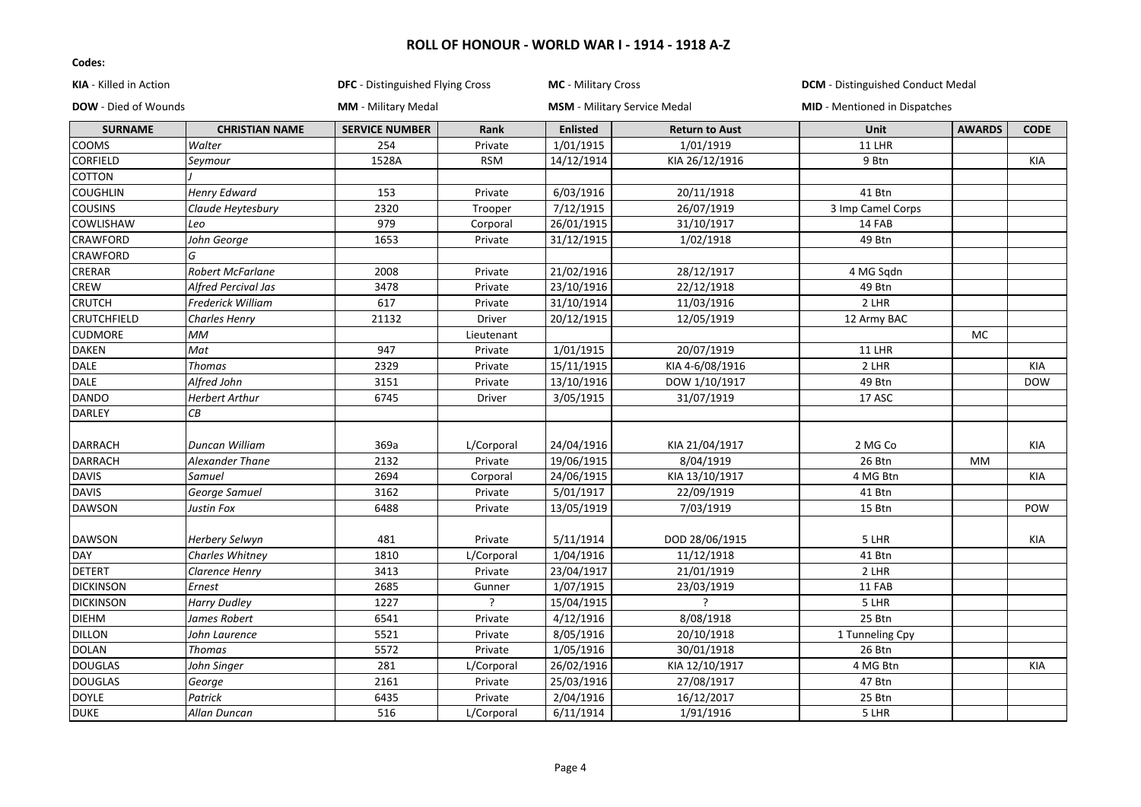| KIA - Killed in Action      |                          | <b>DFC</b> - Distinguished Flying Cross |            | MC - Military Cross |                                     | <b>DCM</b> - Distinguished Conduct Medal |               |             |
|-----------------------------|--------------------------|-----------------------------------------|------------|---------------------|-------------------------------------|------------------------------------------|---------------|-------------|
| <b>DOW</b> - Died of Wounds |                          | <b>MM</b> - Military Medal              |            |                     | <b>MSM</b> - Military Service Medal | <b>MID</b> - Mentioned in Dispatches     |               |             |
| <b>SURNAME</b>              | <b>CHRISTIAN NAME</b>    | <b>SERVICE NUMBER</b>                   | Rank       | <b>Enlisted</b>     | <b>Return to Aust</b>               | Unit                                     | <b>AWARDS</b> | <b>CODE</b> |
| COOMS                       | Walter                   | 254                                     | Private    | 1/01/1915           | 1/01/1919                           | 11 LHR                                   |               |             |
| <b>CORFIELD</b>             | Seymour                  | 1528A                                   | <b>RSM</b> | 14/12/1914          | KIA 26/12/1916                      | 9 Btn                                    |               | KIA         |
| <b>COTTON</b>               |                          |                                         |            |                     |                                     |                                          |               |             |
| <b>COUGHLIN</b>             | <b>Henry Edward</b>      | 153                                     | Private    | 6/03/1916           | 20/11/1918                          | 41 Btn                                   |               |             |
| <b>COUSINS</b>              | Claude Heytesbury        | 2320                                    | Trooper    | 7/12/1915           | 26/07/1919                          | 3 Imp Camel Corps                        |               |             |
| <b>COWLISHAW</b>            | Leo                      | 979                                     | Corporal   | 26/01/1915          | 31/10/1917                          | 14 FAB                                   |               |             |
| <b>CRAWFORD</b>             | John George              | 1653                                    | Private    | 31/12/1915          | 1/02/1918                           | 49 Btn                                   |               |             |
| <b>CRAWFORD</b>             | G                        |                                         |            |                     |                                     |                                          |               |             |
| <b>CRERAR</b>               | <b>Robert McFarlane</b>  | 2008                                    | Private    | 21/02/1916          | 28/12/1917                          | 4 MG Sqdn                                |               |             |
| CREW                        | Alfred Percival Jas      | 3478                                    | Private    | 23/10/1916          | 22/12/1918                          | 49 Btn                                   |               |             |
| <b>CRUTCH</b>               | <b>Frederick William</b> | 617                                     | Private    | 31/10/1914          | 11/03/1916                          | 2 LHR                                    |               |             |
| <b>CRUTCHFIELD</b>          | <b>Charles Henry</b>     | 21132                                   | Driver     | 20/12/1915          | 12/05/1919                          | 12 Army BAC                              |               |             |
| <b>CUDMORE</b>              | МM                       |                                         | Lieutenant |                     |                                     |                                          | MC            |             |
| <b>DAKEN</b>                | Mat                      | 947                                     | Private    | 1/01/1915           | 20/07/1919                          | 11 LHR                                   |               |             |
| <b>DALE</b>                 | <b>Thomas</b>            | 2329                                    | Private    | 15/11/1915          | KIA 4-6/08/1916                     | 2 LHR                                    |               | KIA         |
| DALE                        | Alfred John              | 3151                                    | Private    | 13/10/1916          | DOW 1/10/1917                       | 49 Btn                                   |               | <b>DOW</b>  |
| <b>DANDO</b>                | <b>Herbert Arthur</b>    | 6745                                    | Driver     | 3/05/1915           | 31/07/1919                          | 17 ASC                                   |               |             |
| <b>DARLEY</b>               | CB                       |                                         |            |                     |                                     |                                          |               |             |
|                             |                          |                                         |            |                     |                                     |                                          |               |             |
| <b>DARRACH</b>              | <b>Duncan William</b>    | 369a                                    | L/Corporal | 24/04/1916          | KIA 21/04/1917                      | 2 MG Co                                  |               | KIA         |
| <b>DARRACH</b>              | <b>Alexander Thane</b>   | 2132                                    | Private    | 19/06/1915          | 8/04/1919                           | 26 Btn                                   | <b>MM</b>     |             |
| <b>DAVIS</b>                | Samuel                   | 2694                                    | Corporal   | 24/06/1915          | KIA 13/10/1917                      | 4 MG Btn                                 |               | KIA         |
| <b>DAVIS</b>                | George Samuel            | 3162                                    | Private    | 5/01/1917           | 22/09/1919                          | 41 Btn                                   |               |             |
| <b>DAWSON</b>               | Justin Fox               | 6488                                    | Private    | 13/05/1919          | 7/03/1919                           | 15 Btn                                   |               | POW         |
|                             |                          |                                         |            |                     |                                     |                                          |               |             |
| <b>DAWSON</b>               | Herbery Selwyn           | 481                                     | Private    | 5/11/1914           | DOD 28/06/1915                      | 5 LHR                                    |               | KIA         |
| DAY                         | Charles Whitney          | 1810                                    | L/Corporal | 1/04/1916           | 11/12/1918                          | 41 Btn                                   |               |             |
| <b>DETERT</b>               | Clarence Henry           | 3413                                    | Private    | 23/04/1917          | 21/01/1919                          | 2 LHR                                    |               |             |
| <b>DICKINSON</b>            | Ernest                   | 2685                                    | Gunner     | 1/07/1915           | 23/03/1919                          | 11 FAB                                   |               |             |
| <b>DICKINSON</b>            | <b>Harry Dudley</b>      | 1227                                    |            | 15/04/1915          |                                     | 5 LHR                                    |               |             |
| <b>DIEHM</b>                | James Robert             | 6541                                    | Private    | 4/12/1916           | 8/08/1918                           | 25 Btn                                   |               |             |
| <b>DILLON</b>               | John Laurence            | 5521                                    | Private    | 8/05/1916           | 20/10/1918                          | 1 Tunneling Cpy                          |               |             |
| <b>DOLAN</b>                | <b>Thomas</b>            | 5572                                    | Private    | 1/05/1916           | 30/01/1918                          | 26 Btn                                   |               |             |
| <b>DOUGLAS</b>              | John Singer              | 281                                     | L/Corporal | 26/02/1916          | KIA 12/10/1917                      | 4 MG Btn                                 |               | KIA         |
| <b>DOUGLAS</b>              | George                   | 2161                                    | Private    | 25/03/1916          | 27/08/1917                          | 47 Btn                                   |               |             |
| <b>DOYLE</b>                | Patrick                  | 6435                                    | Private    | 2/04/1916           | 16/12/2017                          | 25 Btn                                   |               |             |
| <b>DUKE</b>                 | Allan Duncan             | 516                                     | L/Corporal | 6/11/1914           | 1/91/1916                           | 5 LHR                                    |               |             |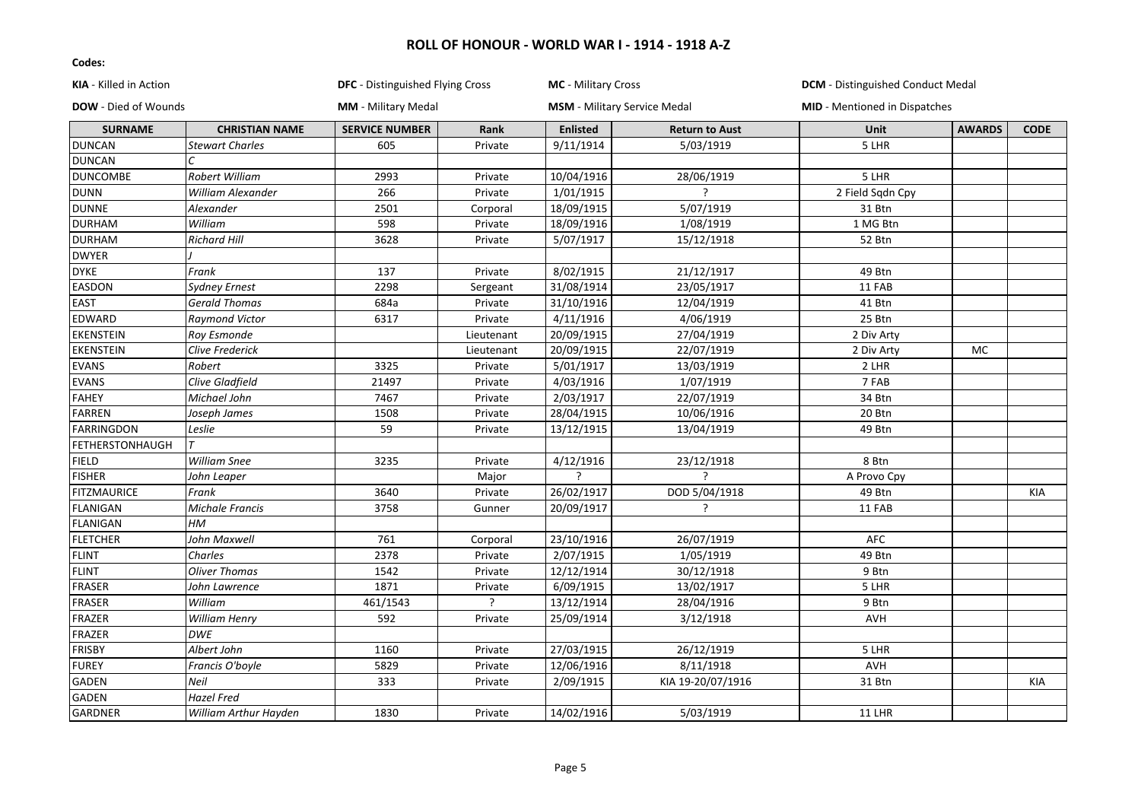| <b>KIA</b> - Killed in Action |                          | <b>DFC</b> - Distinguished Flying Cross |            | <b>MC</b> - Military Cross |                                     | <b>DCM</b> - Distinguished Conduct Medal |               |             |
|-------------------------------|--------------------------|-----------------------------------------|------------|----------------------------|-------------------------------------|------------------------------------------|---------------|-------------|
| <b>DOW</b> - Died of Wounds   |                          | <b>MM</b> - Military Medal              |            |                            | <b>MSM</b> - Military Service Medal | <b>MID</b> - Mentioned in Dispatches     |               |             |
| <b>SURNAME</b>                | <b>CHRISTIAN NAME</b>    | <b>SERVICE NUMBER</b>                   | Rank       | <b>Enlisted</b>            | <b>Return to Aust</b>               | <b>Unit</b>                              | <b>AWARDS</b> | <b>CODE</b> |
| <b>DUNCAN</b>                 | <b>Stewart Charles</b>   | 605                                     | Private    | 9/11/1914                  | 5/03/1919                           | 5 LHR                                    |               |             |
| <b>DUNCAN</b>                 | C                        |                                         |            |                            |                                     |                                          |               |             |
| <b>DUNCOMBE</b>               | <b>Robert William</b>    | 2993                                    | Private    | 10/04/1916                 | 28/06/1919                          | 5 LHR                                    |               |             |
| <b>DUNN</b>                   | <b>William Alexander</b> | 266                                     | Private    | 1/01/1915                  | $\overline{\phantom{a}}$            | 2 Field Sqdn Cpy                         |               |             |
| <b>DUNNE</b>                  | Alexander                | 2501                                    | Corporal   | 18/09/1915                 | 5/07/1919                           | 31 Btn                                   |               |             |
| <b>DURHAM</b>                 | William                  | 598                                     | Private    | 18/09/1916                 | 1/08/1919                           | 1 MG Btn                                 |               |             |
| <b>DURHAM</b>                 | <b>Richard Hill</b>      | 3628                                    | Private    | 5/07/1917                  | 15/12/1918                          | 52 Btn                                   |               |             |
| <b>DWYER</b>                  |                          |                                         |            |                            |                                     |                                          |               |             |
| <b>DYKE</b>                   | Frank                    | 137                                     | Private    | 8/02/1915                  | 21/12/1917                          | 49 Btn                                   |               |             |
| <b>EASDON</b>                 | <b>Sydney Ernest</b>     | 2298                                    | Sergeant   | 31/08/1914                 | 23/05/1917                          | 11 FAB                                   |               |             |
| <b>EAST</b>                   | <b>Gerald Thomas</b>     | 684a                                    | Private    | 31/10/1916                 | 12/04/1919                          | 41 Btn                                   |               |             |
| <b>EDWARD</b>                 | <b>Raymond Victor</b>    | 6317                                    | Private    | 4/11/1916                  | 4/06/1919                           | 25 Btn                                   |               |             |
| <b>EKENSTEIN</b>              | Roy Esmonde              |                                         | Lieutenant | 20/09/1915                 | 27/04/1919                          | 2 Div Arty                               |               |             |
| <b>EKENSTEIN</b>              | <b>Clive Frederick</b>   |                                         | Lieutenant | 20/09/1915                 | 22/07/1919                          | 2 Div Arty                               | MC            |             |
| <b>EVANS</b>                  | Robert                   | 3325                                    | Private    | 5/01/1917                  | 13/03/1919                          | 2 LHR                                    |               |             |
| <b>EVANS</b>                  | Clive Gladfield          | 21497                                   | Private    | 4/03/1916                  | 1/07/1919                           | 7 FAB                                    |               |             |
| <b>FAHEY</b>                  | Michael John             | 7467                                    | Private    | 2/03/1917                  | 22/07/1919                          | 34 Btn                                   |               |             |
| <b>FARREN</b>                 | Joseph James             | 1508                                    | Private    | 28/04/1915                 | 10/06/1916                          | 20 Btn                                   |               |             |
| <b>FARRINGDON</b>             | Leslie                   | 59                                      | Private    | 13/12/1915                 | 13/04/1919                          | 49 Btn                                   |               |             |
| FETHERSTONHAUGH               | $\tau$                   |                                         |            |                            |                                     |                                          |               |             |
| <b>FIELD</b>                  | <b>William Snee</b>      | 3235                                    | Private    | 4/12/1916                  | 23/12/1918                          | 8 Btn                                    |               |             |
| <b>FISHER</b>                 | John Leaper              |                                         | Major      | ?                          | 2                                   | A Provo Cpy                              |               |             |
| <b>FITZMAURICE</b>            | Frank                    | 3640                                    | Private    | 26/02/1917                 | DOD 5/04/1918                       | 49 Btn                                   |               | KIA         |
| FLANIGAN                      | <b>Michale Francis</b>   | 3758                                    | Gunner     | 20/09/1917                 | 7                                   | 11 FAB                                   |               |             |
| <b>FLANIGAN</b>               | HM                       |                                         |            |                            |                                     |                                          |               |             |
| <b>FLETCHER</b>               | John Maxwell             | 761                                     | Corporal   | 23/10/1916                 | 26/07/1919                          | <b>AFC</b>                               |               |             |
| <b>FLINT</b>                  | Charles                  | 2378                                    | Private    | 2/07/1915                  | 1/05/1919                           | 49 Btn                                   |               |             |
| <b>FLINT</b>                  | <b>Oliver Thomas</b>     | 1542                                    | Private    | 12/12/1914                 | 30/12/1918                          | 9 Btn                                    |               |             |
| FRASER                        | John Lawrence            | 1871                                    | Private    | 6/09/1915                  | 13/02/1917                          | 5 LHR                                    |               |             |
| <b>FRASER</b>                 | William                  | 461/1543                                |            | 13/12/1914                 | 28/04/1916                          | 9 Btn                                    |               |             |
| FRAZER                        | William Henry            | 592                                     | Private    | 25/09/1914                 | 3/12/1918                           | <b>AVH</b>                               |               |             |
| <b>FRAZER</b>                 | <b>DWE</b>               |                                         |            |                            |                                     |                                          |               |             |
| <b>FRISBY</b>                 | Albert John              | 1160                                    | Private    | 27/03/1915                 | 26/12/1919                          | 5 LHR                                    |               |             |
| <b>FUREY</b>                  | Francis O'boyle          | 5829                                    | Private    | 12/06/1916                 | 8/11/1918                           | AVH                                      |               |             |
| <b>GADEN</b>                  | Neil                     | 333                                     | Private    | 2/09/1915                  | KIA 19-20/07/1916                   | 31 Btn                                   |               | KIA         |
| <b>GADEN</b>                  | <b>Hazel Fred</b>        |                                         |            |                            |                                     |                                          |               |             |
| <b>GARDNER</b>                | William Arthur Hayden    | 1830                                    | Private    | 14/02/1916                 | 5/03/1919                           | 11 LHR                                   |               |             |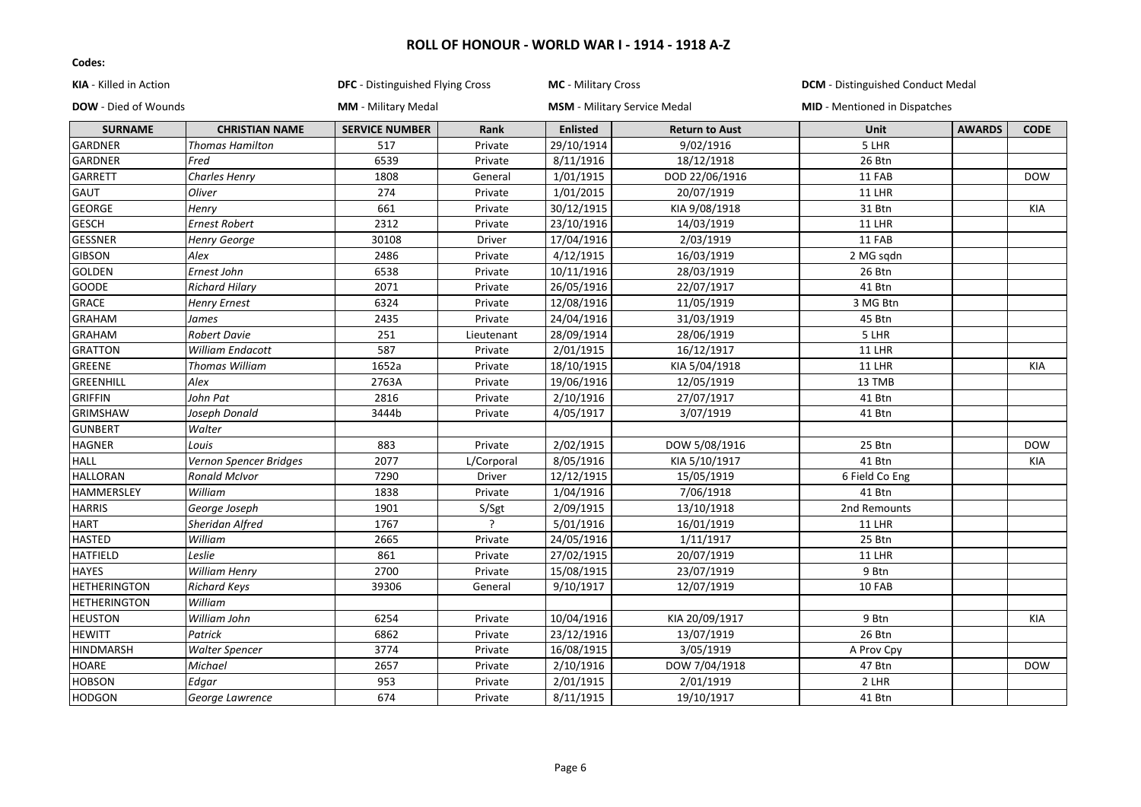| <b>KIA</b> - Killed in Action |                        | <b>DFC</b> - Distinguished Flying Cross |               | MC - Military Cross |                                     | <b>DCM</b> - Distinguished Conduct Medal |               |             |
|-------------------------------|------------------------|-----------------------------------------|---------------|---------------------|-------------------------------------|------------------------------------------|---------------|-------------|
| <b>DOW</b> - Died of Wounds   |                        | MM - Military Medal                     |               |                     | <b>MSM</b> - Military Service Medal | <b>MID</b> - Mentioned in Dispatches     |               |             |
| <b>SURNAME</b>                | <b>CHRISTIAN NAME</b>  | <b>SERVICE NUMBER</b>                   | Rank          | <b>Enlisted</b>     | <b>Return to Aust</b>               | Unit                                     | <b>AWARDS</b> | <b>CODE</b> |
| GARDNER                       | Thomas Hamilton        | 517                                     | Private       | 29/10/1914          | 9/02/1916                           | 5 LHR                                    |               |             |
| GARDNER                       | Fred                   | 6539                                    | Private       | 8/11/1916           | 18/12/1918                          | 26 Btn                                   |               |             |
| GARRETT                       | Charles Henry          | 1808                                    | General       | 1/01/1915           | DOD 22/06/1916                      | 11 FAB                                   |               | <b>DOW</b>  |
| <b>GAUT</b>                   | Oliver                 | 274                                     | Private       | 1/01/2015           | 20/07/1919                          | <b>11 LHR</b>                            |               |             |
| <b>GEORGE</b>                 | Henry                  | 661                                     | Private       | 30/12/1915          | KIA 9/08/1918                       | 31 Btn                                   |               | <b>KIA</b>  |
| <b>GESCH</b>                  | <b>Ernest Robert</b>   | 2312                                    | Private       | 23/10/1916          | 14/03/1919                          | 11 LHR                                   |               |             |
| <b>GESSNER</b>                | Henry George           | 30108                                   | <b>Driver</b> | 17/04/1916          | 2/03/1919                           | 11 FAB                                   |               |             |
| <b>GIBSON</b>                 | Alex                   | 2486                                    | Private       | 4/12/1915           | 16/03/1919                          | 2 MG sqdn                                |               |             |
| GOLDEN                        | Ernest John            | 6538                                    | Private       | 10/11/1916          | 28/03/1919                          | 26 Btn                                   |               |             |
| GOODE                         | <b>Richard Hilary</b>  | 2071                                    | Private       | 26/05/1916          | 22/07/1917                          | 41 Btn                                   |               |             |
| <b>GRACE</b>                  | <b>Henry Ernest</b>    | 6324                                    | Private       | 12/08/1916          | 11/05/1919                          | 3 MG Btn                                 |               |             |
| <b>GRAHAM</b>                 | James                  | 2435                                    | Private       | 24/04/1916          | 31/03/1919                          | 45 Btn                                   |               |             |
| <b>GRAHAM</b>                 | <b>Robert Davie</b>    | 251                                     | Lieutenant    | 28/09/1914          | 28/06/1919                          | 5 LHR                                    |               |             |
| <b>GRATTON</b>                | William Endacott       | 587                                     | Private       | 2/01/1915           | 16/12/1917                          | <b>11 LHR</b>                            |               |             |
| <b>GREENE</b>                 | Thomas William         | 1652a                                   | Private       | 18/10/1915          | KIA 5/04/1918                       | <b>11 LHR</b>                            |               | <b>KIA</b>  |
| GREENHILL                     | Alex                   | 2763A                                   | Private       | 19/06/1916          | 12/05/1919                          | 13 TMB                                   |               |             |
| <b>GRIFFIN</b>                | John Pat               | 2816                                    | Private       | 2/10/1916           | 27/07/1917                          | 41 Btn                                   |               |             |
| <b>GRIMSHAW</b>               | Joseph Donald          | 3444b                                   | Private       | 4/05/1917           | 3/07/1919                           | 41 Btn                                   |               |             |
| <b>GUNBERT</b>                | Walter                 |                                         |               |                     |                                     |                                          |               |             |
| <b>HAGNER</b>                 | Louis                  | 883                                     | Private       | 2/02/1915           | DOW 5/08/1916                       | 25 Btn                                   |               | <b>DOW</b>  |
| <b>HALL</b>                   | Vernon Spencer Bridges | 2077                                    | L/Corporal    | 8/05/1916           | KIA 5/10/1917                       | 41 Btn                                   |               | <b>KIA</b>  |
| <b>HALLORAN</b>               | <b>Ronald McIvor</b>   | 7290                                    | <b>Driver</b> | 12/12/1915          | 15/05/1919                          | 6 Field Co Eng                           |               |             |
| HAMMERSLEY                    | William                | 1838                                    | Private       | 1/04/1916           | 7/06/1918                           | 41 Btn                                   |               |             |
| <b>HARRIS</b>                 | George Joseph          | 1901                                    | S/Sgt         | 2/09/1915           | 13/10/1918                          | 2nd Remounts                             |               |             |
| <b>HART</b>                   | Sheridan Alfred        | 1767                                    |               | 5/01/1916           | 16/01/1919                          | <b>11 LHR</b>                            |               |             |
| <b>HASTED</b>                 | William                | 2665                                    | Private       | 24/05/1916          | 1/11/1917                           | 25 Btn                                   |               |             |
| <b>HATFIELD</b>               | Leslie                 | 861                                     | Private       | 27/02/1915          | 20/07/1919                          | 11 LHR                                   |               |             |
| <b>HAYES</b>                  | William Henry          | 2700                                    | Private       | 15/08/1915          | 23/07/1919                          | 9 Btn                                    |               |             |
| <b>HETHERINGTON</b>           | <b>Richard Keys</b>    | 39306                                   | General       | 9/10/1917           | 12/07/1919                          | 10 FAB                                   |               |             |
| <b>HETHERINGTON</b>           | William                |                                         |               |                     |                                     |                                          |               |             |
| <b>HEUSTON</b>                | William John           | 6254                                    | Private       | 10/04/1916          | KIA 20/09/1917                      | 9 Btn                                    |               | <b>KIA</b>  |
| <b>HEWITT</b>                 | Patrick                | 6862                                    | Private       | 23/12/1916          | 13/07/1919                          | 26 Btn                                   |               |             |
| <b>HINDMARSH</b>              | <b>Walter Spencer</b>  | 3774                                    | Private       | 16/08/1915          | 3/05/1919                           | A Prov Cpy                               |               |             |
| HOARE                         | Michael                | 2657                                    | Private       | 2/10/1916           | DOW 7/04/1918                       | 47 Btn                                   |               | <b>DOW</b>  |
| <b>HOBSON</b>                 | Edgar                  | 953                                     | Private       | 2/01/1915           | 2/01/1919                           | 2 LHR                                    |               |             |
| <b>HODGON</b>                 | George Lawrence        | 674                                     | Private       | 8/11/1915           | 19/10/1917                          | 41 Btn                                   |               |             |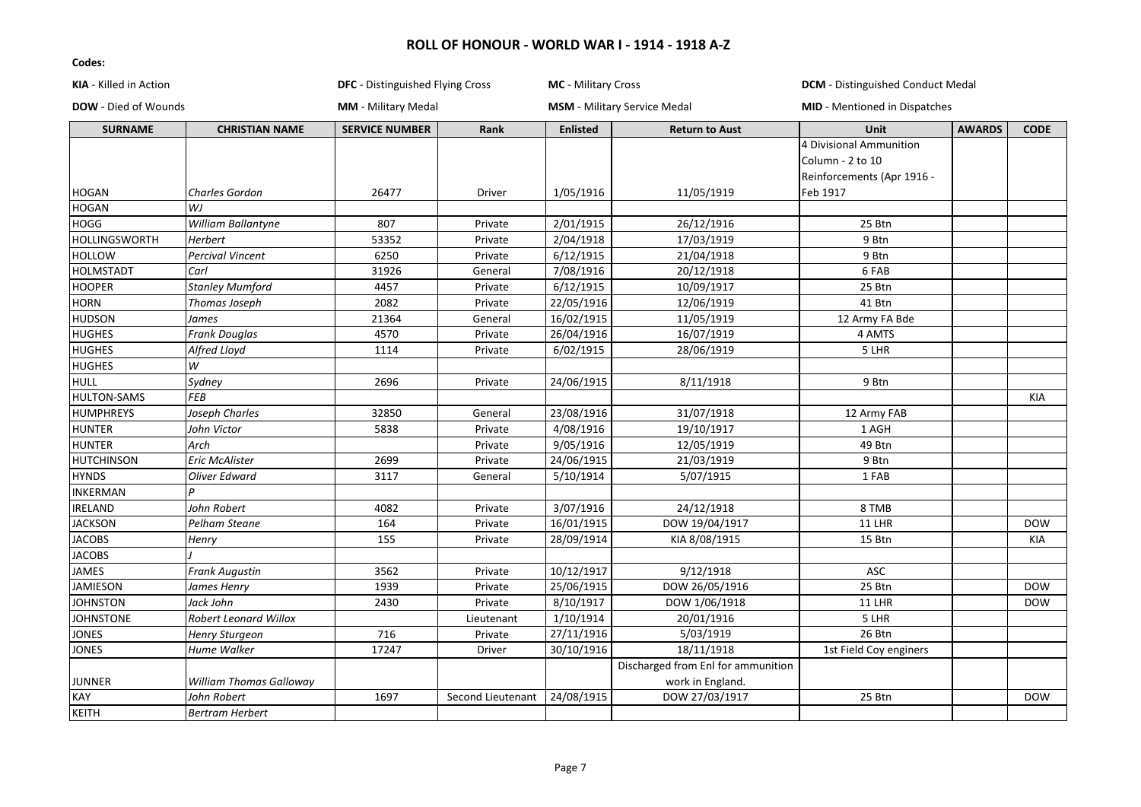| KIA - Killed in Action      |                         | DFC - Distinguished Flying Cross |                   | MC - Military Cross |                                     | <b>DCM</b> - Distinguished Conduct Medal |               |             |
|-----------------------------|-------------------------|----------------------------------|-------------------|---------------------|-------------------------------------|------------------------------------------|---------------|-------------|
| <b>DOW</b> - Died of Wounds |                         | <b>MM</b> - Military Medal       |                   |                     | <b>MSM</b> - Military Service Medal | MID - Mentioned in Dispatches            |               |             |
| <b>SURNAME</b>              | <b>CHRISTIAN NAME</b>   | <b>SERVICE NUMBER</b>            | Rank              | <b>Enlisted</b>     | <b>Return to Aust</b>               | Unit                                     | <b>AWARDS</b> | <b>CODE</b> |
|                             |                         |                                  |                   |                     |                                     | 4 Divisional Ammunition                  |               |             |
|                             |                         |                                  |                   |                     |                                     | Column - 2 to 10                         |               |             |
|                             |                         |                                  |                   |                     |                                     | Reinforcements (Apr 1916 -               |               |             |
| <b>HOGAN</b>                | Charles Gordon          | 26477                            | Driver            | 1/05/1916           | 11/05/1919                          | Feb 1917                                 |               |             |
| HOGAN                       | WJ                      |                                  |                   |                     |                                     |                                          |               |             |
| <b>HOGG</b>                 | William Ballantyne      | 807                              | Private           | 2/01/1915           | 26/12/1916                          | 25 Btn                                   |               |             |
| <b>HOLLINGSWORTH</b>        | <b>Herbert</b>          | 53352                            | Private           | 2/04/1918           | 17/03/1919                          | 9 Btn                                    |               |             |
| <b>HOLLOW</b>               | <b>Percival Vincent</b> | 6250                             | Private           | 6/12/1915           | 21/04/1918                          | 9 Btn                                    |               |             |
| <b>HOLMSTADT</b>            | Carl                    | 31926                            | General           | 7/08/1916           | 20/12/1918                          | 6 FAB                                    |               |             |
| <b>HOOPER</b>               | <b>Stanley Mumford</b>  | 4457                             | Private           | 6/12/1915           | 10/09/1917                          | 25 Btn                                   |               |             |
| <b>HORN</b>                 | Thomas Joseph           | 2082                             | Private           | 22/05/1916          | 12/06/1919                          | 41 Btn                                   |               |             |
| <b>HUDSON</b>               | James                   | 21364                            | General           | 16/02/1915          | 11/05/1919                          | 12 Army FA Bde                           |               |             |
| <b>HUGHES</b>               | Frank Douglas           | 4570                             | Private           | 26/04/1916          | 16/07/1919                          | 4 AMTS                                   |               |             |
| <b>HUGHES</b>               | Alfred Lloyd            | 1114                             | Private           | 6/02/1915           | 28/06/1919                          | 5 LHR                                    |               |             |
| <b>HUGHES</b>               | W                       |                                  |                   |                     |                                     |                                          |               |             |
| <b>HULL</b>                 | Sydney                  | 2696                             | Private           | 24/06/1915          | 8/11/1918                           | 9 Btn                                    |               |             |
| <b>HULTON-SAMS</b>          | <b>FEB</b>              |                                  |                   |                     |                                     |                                          |               | KIA         |
| <b>HUMPHREYS</b>            | Joseph Charles          | 32850                            | General           | 23/08/1916          | 31/07/1918                          | 12 Army FAB                              |               |             |
| <b>HUNTER</b>               | John Victor             | 5838                             | Private           | 4/08/1916           | 19/10/1917                          | 1 AGH                                    |               |             |
| <b>HUNTER</b>               | Arch                    |                                  | Private           | 9/05/1916           | 12/05/1919                          | 49 Btn                                   |               |             |
| <b>HUTCHINSON</b>           | Eric McAlister          | 2699                             | Private           | 24/06/1915          | 21/03/1919                          | 9 Btn                                    |               |             |
| <b>HYNDS</b>                | Oliver Edward           | 3117                             | General           | 5/10/1914           | 5/07/1915                           | 1 FAB                                    |               |             |
| INKERMAN                    | D                       |                                  |                   |                     |                                     |                                          |               |             |
| IRELAND                     | John Robert             | 4082                             | Private           | 3/07/1916           | 24/12/1918                          | 8 TMB                                    |               |             |
| <b>JACKSON</b>              | Pelham Steane           | 164                              | Private           | 16/01/1915          | DOW 19/04/1917                      | <b>11 LHR</b>                            |               | <b>DOW</b>  |
| <b>JACOBS</b>               | Henry                   | 155                              | Private           | 28/09/1914          | KIA 8/08/1915                       | 15 Btn                                   |               | KIA         |
| <b>JACOBS</b>               |                         |                                  |                   |                     |                                     |                                          |               |             |
| JAMES                       | <b>Frank Augustin</b>   | 3562                             | Private           | 10/12/1917          | 9/12/1918                           | ASC                                      |               |             |
| <b>JAMIESON</b>             | James Henry             | 1939                             | Private           | 25/06/1915          | DOW 26/05/1916                      | 25 Btn                                   |               | <b>DOW</b>  |
| <b>JOHNSTON</b>             | Jack John               | 2430                             | Private           | 8/10/1917           | DOW 1/06/1918                       | <b>11 LHR</b>                            |               | <b>DOW</b>  |
| <b>JOHNSTONE</b>            | Robert Leonard Willox   |                                  | Lieutenant        | 1/10/1914           | 20/01/1916                          | 5 LHR                                    |               |             |
| <b>JONES</b>                | Henry Sturgeon          | 716                              | Private           | 27/11/1916          | 5/03/1919                           | 26 Btn                                   |               |             |
| <b>JONES</b>                | Hume Walker             | 17247                            | Driver            | 30/10/1916          | 18/11/1918                          | 1st Field Coy enginers                   |               |             |
|                             |                         |                                  |                   |                     | Discharged from Enl for ammunition  |                                          |               |             |
| <b>JUNNER</b>               | William Thomas Galloway |                                  |                   |                     | work in England.                    |                                          |               |             |
| KAY                         | John Robert             | 1697                             | Second Lieutenant | 24/08/1915          | DOW 27/03/1917                      | 25 Btn                                   |               | <b>DOW</b>  |
| <b>KEITH</b>                | <b>Bertram Herbert</b>  |                                  |                   |                     |                                     |                                          |               |             |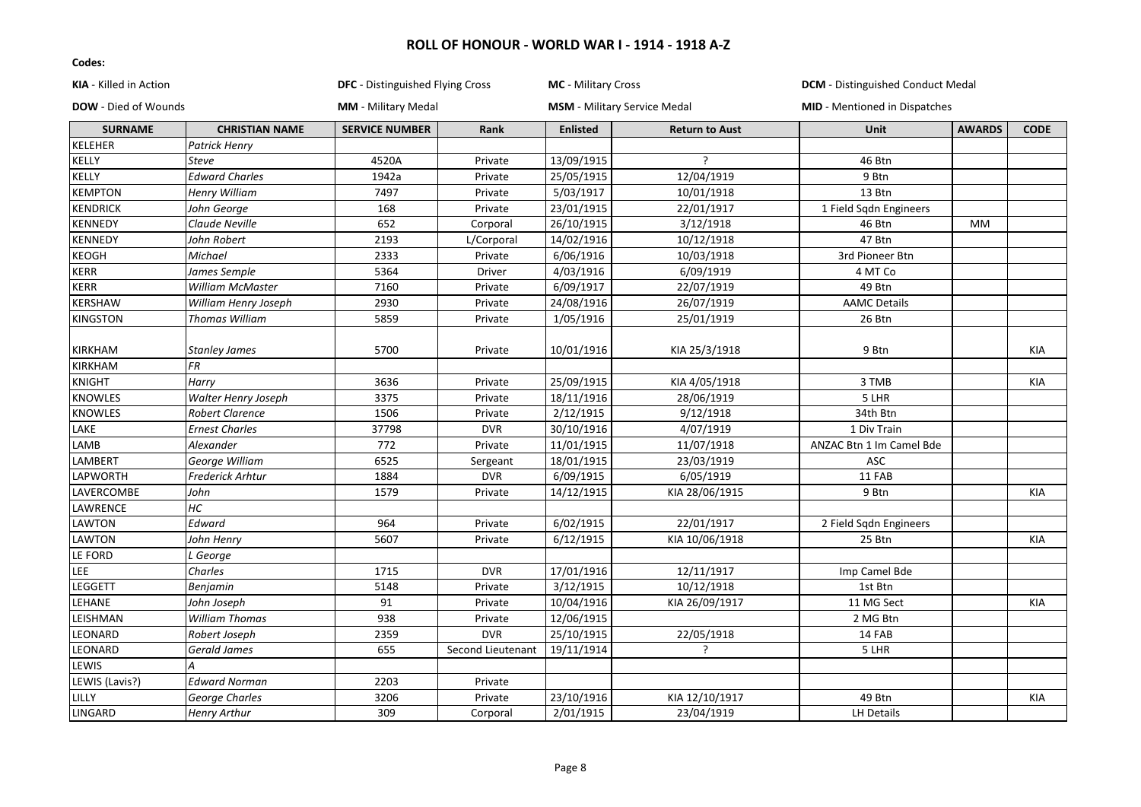| KIA - Killed in Action      |                       | DFC - Distinguished Flying Cross |                   | <b>MC</b> - Military Cross |                                     | <b>DCM</b> - Distinguished Conduct Medal |               |             |
|-----------------------------|-----------------------|----------------------------------|-------------------|----------------------------|-------------------------------------|------------------------------------------|---------------|-------------|
| <b>DOW</b> - Died of Wounds |                       | <b>MM</b> - Military Medal       |                   |                            | <b>MSM</b> - Military Service Medal | <b>MID</b> - Mentioned in Dispatches     |               |             |
| <b>SURNAME</b>              | <b>CHRISTIAN NAME</b> | <b>SERVICE NUMBER</b>            | Rank              | <b>Enlisted</b>            | <b>Return to Aust</b>               | <b>Unit</b>                              | <b>AWARDS</b> | <b>CODE</b> |
| KELEHER                     | Patrick Henry         |                                  |                   |                            |                                     |                                          |               |             |
| KELLY                       | Steve                 | 4520A                            | Private           | 13/09/1915                 | ?                                   | 46 Btn                                   |               |             |
| KELLY                       | <b>Edward Charles</b> | 1942a                            | Private           | 25/05/1915                 | 12/04/1919                          | 9 Btn                                    |               |             |
| <b>KEMPTON</b>              | Henry William         | 7497                             | Private           | 5/03/1917                  | 10/01/1918                          | 13 Btn                                   |               |             |
| <b>KENDRICK</b>             | John George           | 168                              | Private           | 23/01/1915                 | 22/01/1917                          | 1 Field Sqdn Engineers                   |               |             |
| KENNEDY                     | Claude Neville        | 652                              | Corporal          | 26/10/1915                 | 3/12/1918                           | 46 Btn                                   | <b>MM</b>     |             |
| <b>KENNEDY</b>              | John Robert           | 2193                             | L/Corporal        | 14/02/1916                 | 10/12/1918                          | 47 Btn                                   |               |             |
| KEOGH                       | Michael               | 2333                             | Private           | 6/06/1916                  | 10/03/1918                          | 3rd Pioneer Btn                          |               |             |
| <b>KERR</b>                 | James Semple          | 5364                             | <b>Driver</b>     | 4/03/1916                  | 6/09/1919                           | 4 MT Co                                  |               |             |
| <b>KERR</b>                 | William McMaster      | 7160                             | Private           | 6/09/1917                  | 22/07/1919                          | 49 Btn                                   |               |             |
| KERSHAW                     | William Henry Joseph  | 2930                             | Private           | 24/08/1916                 | 26/07/1919                          | <b>AAMC Details</b>                      |               |             |
| <b>KINGSTON</b>             | <b>Thomas William</b> | 5859                             | Private           | 1/05/1916                  | 25/01/1919                          | 26 Btn                                   |               |             |
|                             |                       |                                  |                   |                            |                                     |                                          |               |             |
| KIRKHAM                     | <b>Stanley James</b>  | 5700                             | Private           | 10/01/1916                 | KIA 25/3/1918                       | 9 Btn                                    |               | KIA         |
| <b>KIRKHAM</b>              | FR                    |                                  |                   |                            |                                     |                                          |               |             |
| <b>KNIGHT</b>               | Harry                 | 3636                             | Private           | 25/09/1915                 | KIA 4/05/1918                       | 3 TMB                                    |               | KIA         |
| KNOWLES                     | Walter Henry Joseph   | 3375                             | Private           | 18/11/1916                 | 28/06/1919                          | 5 LHR                                    |               |             |
| <b>KNOWLES</b>              | Robert Clarence       | 1506                             | Private           | 2/12/1915                  | 9/12/1918                           | 34th Btn                                 |               |             |
| LAKE                        | <b>Ernest Charles</b> | 37798                            | <b>DVR</b>        | 30/10/1916                 | 4/07/1919                           | 1 Div Train                              |               |             |
| LAMB                        | Alexander             | 772                              | Private           | 11/01/1915                 | 11/07/1918                          | ANZAC Btn 1 Im Camel Bde                 |               |             |
| LAMBERT                     | George William        | 6525                             | Sergeant          | 18/01/1915                 | 23/03/1919                          | ASC                                      |               |             |
| LAPWORTH                    | Frederick Arhtur      | 1884                             | <b>DVR</b>        | 6/09/1915                  | 6/05/1919                           | 11 FAB                                   |               |             |
| LAVERCOMBE                  | John                  | 1579                             | Private           | 14/12/1915                 | KIA 28/06/1915                      | 9 Btn                                    |               | KIA         |
| LAWRENCE                    | НC                    |                                  |                   |                            |                                     |                                          |               |             |
| LAWTON                      | Edward                | 964                              | Private           | 6/02/1915                  | 22/01/1917                          | 2 Field Sqdn Engineers                   |               |             |
| LAWTON                      | John Henry            | 5607                             | Private           | 6/12/1915                  | KIA 10/06/1918                      | 25 Btn                                   |               | KIA         |
| LE FORD                     | L George              |                                  |                   |                            |                                     |                                          |               |             |
| LEE                         | Charles               | 1715                             | <b>DVR</b>        | 17/01/1916                 | 12/11/1917                          | Imp Camel Bde                            |               |             |
| LEGGETT                     | Benjamin              | 5148                             | Private           | 3/12/1915                  | 10/12/1918                          | 1st Btn                                  |               |             |
| LEHANE                      | John Joseph           | 91                               | Private           | 10/04/1916                 | KIA 26/09/1917                      | 11 MG Sect                               |               | KIA         |
| LEISHMAN                    | <b>William Thomas</b> | 938                              | Private           | 12/06/1915                 |                                     | 2 MG Btn                                 |               |             |
| LEONARD                     | Robert Joseph         | 2359                             | <b>DVR</b>        | 25/10/1915                 | 22/05/1918                          | 14 FAB                                   |               |             |
| LEONARD                     | <b>Gerald James</b>   | 655                              | Second Lieutenant | 19/11/1914                 | $\overline{?}$                      | 5 LHR                                    |               |             |
| LEWIS                       | А                     |                                  |                   |                            |                                     |                                          |               |             |
| LEWIS (Lavis?)              | <b>Edward Norman</b>  | 2203                             | Private           |                            |                                     |                                          |               |             |
| LILLY                       | George Charles        | 3206                             | Private           | 23/10/1916                 | KIA 12/10/1917                      | 49 Btn                                   |               | KIA         |
| LINGARD                     | Henry Arthur          | 309                              | Corporal          | 2/01/1915                  | 23/04/1919                          | <b>LH Details</b>                        |               |             |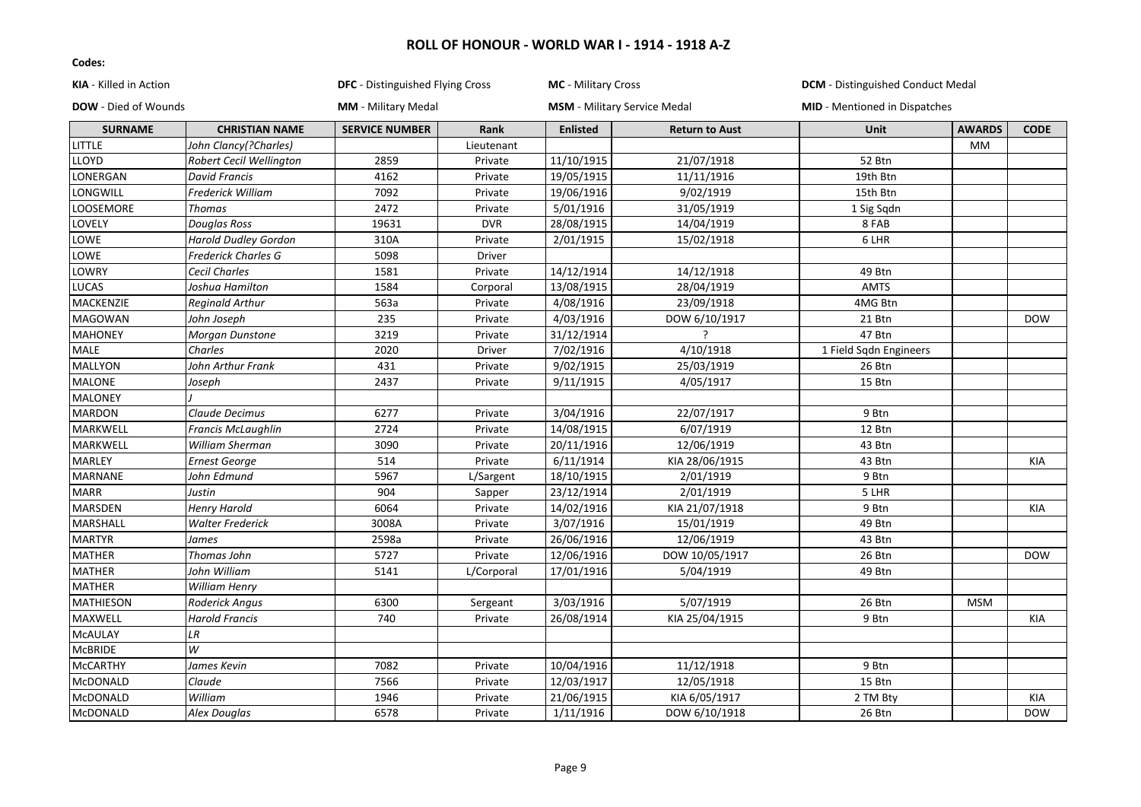| KIA - Killed in Action      |                             | <b>DFC</b> - Distinguished Flying Cross |            | <b>MC</b> - Military Cross          |                          | <b>DCM</b> - Distinguished Conduct Medal |               |             |
|-----------------------------|-----------------------------|-----------------------------------------|------------|-------------------------------------|--------------------------|------------------------------------------|---------------|-------------|
| <b>DOW</b> - Died of Wounds |                             | <b>MM</b> - Military Medal              |            | <b>MSM</b> - Military Service Medal |                          | <b>MID</b> - Mentioned in Dispatches     |               |             |
| <b>SURNAME</b>              | <b>CHRISTIAN NAME</b>       | <b>SERVICE NUMBER</b>                   | Rank       | <b>Enlisted</b>                     | <b>Return to Aust</b>    | Unit                                     | <b>AWARDS</b> | <b>CODE</b> |
| LITTLE                      | John Clancy(?Charles)       |                                         | Lieutenant |                                     |                          |                                          | <b>MM</b>     |             |
| <b>LLOYD</b>                | Robert Cecil Wellington     | 2859                                    | Private    | 11/10/1915                          | 21/07/1918               | 52 Btn                                   |               |             |
| LONERGAN                    | <b>David Francis</b>        | 4162                                    | Private    | 19/05/1915                          | 11/11/1916               | 19th Btn                                 |               |             |
| LONGWILL                    | <b>Frederick William</b>    | 7092                                    | Private    | 19/06/1916                          | 9/02/1919                | 15th Btn                                 |               |             |
| LOOSEMORE                   | Thomas                      | 2472                                    | Private    | 5/01/1916                           | 31/05/1919               | 1 Sig Sqdn                               |               |             |
| LOVELY                      | <b>Douglas Ross</b>         | 19631                                   | <b>DVR</b> | 28/08/1915                          | 14/04/1919               | 8 FAB                                    |               |             |
| LOWE                        | <b>Harold Dudley Gordon</b> | 310A                                    | Private    | 2/01/1915                           | 15/02/1918               | 6 LHR                                    |               |             |
| LOWE                        | <b>Frederick Charles G</b>  | 5098                                    | Driver     |                                     |                          |                                          |               |             |
| LOWRY                       | <b>Cecil Charles</b>        | 1581                                    | Private    | 14/12/1914                          | 14/12/1918               | 49 Btn                                   |               |             |
| <b>LUCAS</b>                | Joshua Hamilton             | 1584                                    | Corporal   | 13/08/1915                          | 28/04/1919               | <b>AMTS</b>                              |               |             |
| MACKENZIE                   | <b>Reginald Arthur</b>      | 563a                                    | Private    | 4/08/1916                           | 23/09/1918               | 4MG Btn                                  |               |             |
| <b>MAGOWAN</b>              | John Joseph                 | 235                                     | Private    | 4/03/1916                           | DOW 6/10/1917            | 21 Btn                                   |               | <b>DOW</b>  |
| <b>MAHONEY</b>              | Morgan Dunstone             | 3219                                    | Private    | 31/12/1914                          | $\overline{\phantom{a}}$ | 47 Btn                                   |               |             |
| <b>MALE</b>                 | Charles                     | 2020                                    | Driver     | 7/02/1916                           | 4/10/1918                | 1 Field Sqdn Engineers                   |               |             |
| <b>MALLYON</b>              | John Arthur Frank           | 431                                     | Private    | 9/02/1915                           | 25/03/1919               | 26 Btn                                   |               |             |
| <b>MALONE</b>               | Joseph                      | 2437                                    | Private    | 9/11/1915                           | 4/05/1917                | 15 Btn                                   |               |             |
| <b>MALONEY</b>              |                             |                                         |            |                                     |                          |                                          |               |             |
| <b>MARDON</b>               | Claude Decimus              | 6277                                    | Private    | 3/04/1916                           | 22/07/1917               | 9 Btn                                    |               |             |
| MARKWELL                    | Francis McLaughlin          | 2724                                    | Private    | 14/08/1915                          | 6/07/1919                | 12 Btn                                   |               |             |
| MARKWELL                    | William Sherman             | 3090                                    | Private    | 20/11/1916                          | 12/06/1919               | 43 Btn                                   |               |             |
| <b>MARLEY</b>               | <b>Ernest George</b>        | 514                                     | Private    | 6/11/1914                           | KIA 28/06/1915           | 43 Btn                                   |               | KIA         |
| <b>MARNANE</b>              | John Edmund                 | 5967                                    | L/Sargent  | 18/10/1915                          | 2/01/1919                | 9 Btn                                    |               |             |
| <b>MARR</b>                 | Justin                      | 904                                     | Sapper     | 23/12/1914                          | 2/01/1919                | 5 LHR                                    |               |             |
| <b>MARSDEN</b>              | <b>Henry Harold</b>         | 6064                                    | Private    | 14/02/1916                          | KIA 21/07/1918           | 9 Btn                                    |               | <b>KIA</b>  |
| MARSHALL                    | <b>Walter Frederick</b>     | 3008A                                   | Private    | 3/07/1916                           | 15/01/1919               | 49 Btn                                   |               |             |
| <b>MARTYR</b>               | James                       | 2598a                                   | Private    | 26/06/1916                          | 12/06/1919               | 43 Btn                                   |               |             |
| <b>MATHER</b>               | Thomas John                 | 5727                                    | Private    | 12/06/1916                          | DOW 10/05/1917           | 26 Btn                                   |               | <b>DOW</b>  |
| <b>MATHER</b>               | John William                | 5141                                    | L/Corporal | 17/01/1916                          | 5/04/1919                | 49 Btn                                   |               |             |
| <b>MATHER</b>               | <b>William Henry</b>        |                                         |            |                                     |                          |                                          |               |             |
| <b>MATHIESON</b>            | Roderick Angus              | 6300                                    | Sergeant   | 3/03/1916                           | 5/07/1919                | 26 Btn                                   | <b>MSM</b>    |             |
| MAXWELL                     | <b>Harold Francis</b>       | 740                                     | Private    | 26/08/1914                          | KIA 25/04/1915           | 9 Btn                                    |               | <b>KIA</b>  |
| <b>MCAULAY</b>              | LR                          |                                         |            |                                     |                          |                                          |               |             |
| <b>McBRIDE</b>              | W                           |                                         |            |                                     |                          |                                          |               |             |
| <b>McCARTHY</b>             | James Kevin                 | 7082                                    | Private    | 10/04/1916                          | 11/12/1918               | 9 Btn                                    |               |             |
| McDONALD                    | Claude                      | 7566                                    | Private    | 12/03/1917                          | 12/05/1918               | 15 Btn                                   |               |             |
| McDONALD                    | William                     | 1946                                    | Private    | 21/06/1915                          | KIA 6/05/1917            | 2 TM Bty                                 |               | <b>KIA</b>  |
| McDONALD                    | Alex Douglas                | 6578                                    | Private    | 1/11/1916                           | DOW 6/10/1918            | 26 Btn                                   |               | <b>DOW</b>  |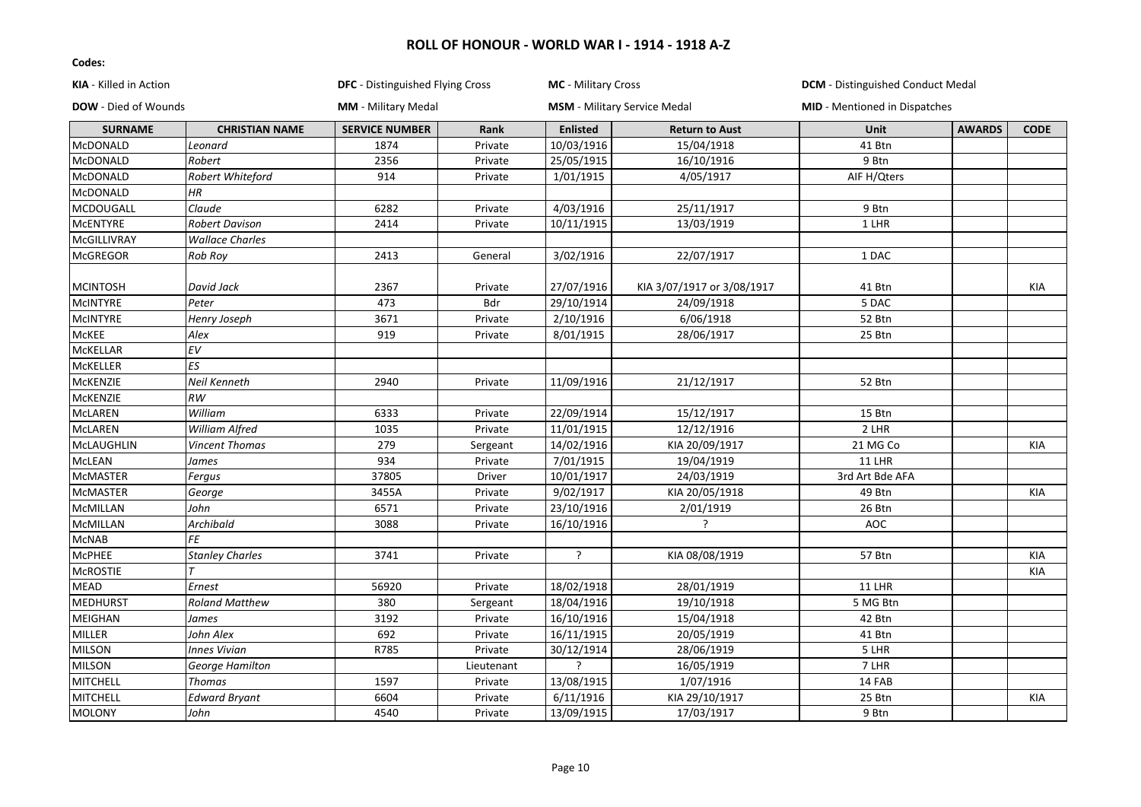| <b>KIA</b> - Killed in Action |                        | DFC - Distinguished Flying Cross |            | MC - Military Cross |                                     | <b>DCM</b> - Distinguished Conduct Medal |               |             |
|-------------------------------|------------------------|----------------------------------|------------|---------------------|-------------------------------------|------------------------------------------|---------------|-------------|
| <b>DOW</b> - Died of Wounds   |                        | <b>MM</b> - Military Medal       |            |                     | <b>MSM</b> - Military Service Medal | <b>MID</b> - Mentioned in Dispatches     |               |             |
| <b>SURNAME</b>                | <b>CHRISTIAN NAME</b>  | <b>SERVICE NUMBER</b>            | Rank       | <b>Enlisted</b>     | <b>Return to Aust</b>               | Unit                                     | <b>AWARDS</b> | <b>CODE</b> |
| <b>McDONALD</b>               | Leonard                | 1874                             | Private    | 10/03/1916          | 15/04/1918                          | 41 Btn                                   |               |             |
| <b>McDONALD</b>               | Robert                 | 2356                             | Private    | 25/05/1915          | 16/10/1916                          | 9 Btn                                    |               |             |
| <b>McDONALD</b>               | Robert Whiteford       | 914                              | Private    | 1/01/1915           | 4/05/1917                           | AIF H/Qters                              |               |             |
| McDONALD                      | HR                     |                                  |            |                     |                                     |                                          |               |             |
| MCDOUGALL                     | Claude                 | 6282                             | Private    | 4/03/1916           | 25/11/1917                          | 9 Btn                                    |               |             |
| <b>MCENTYRE</b>               | <b>Robert Davison</b>  | 2414                             | Private    | 10/11/1915          | 13/03/1919                          | 1 LHR                                    |               |             |
| McGILLIVRAY                   | <b>Wallace Charles</b> |                                  |            |                     |                                     |                                          |               |             |
| <b>McGREGOR</b>               | Rob Roy                | 2413                             | General    | 3/02/1916           | 22/07/1917                          | 1 DAC                                    |               |             |
| <b>MCINTOSH</b>               | David Jack             | 2367                             | Private    | 27/07/1916          | KIA 3/07/1917 or 3/08/1917          | 41 Btn                                   |               | KIA         |
| <b>MCINTYRE</b>               | Peter                  | 473                              | Bdr        | 29/10/1914          | 24/09/1918                          | 5 DAC                                    |               |             |
| <b>MCINTYRE</b>               | Henry Joseph           | 3671                             | Private    | 2/10/1916           | 6/06/1918                           | 52 Btn                                   |               |             |
| <b>McKEE</b>                  | Alex                   | 919                              | Private    | 8/01/1915           | 28/06/1917                          | 25 Btn                                   |               |             |
| <b>MCKELLAR</b>               | $E$ V                  |                                  |            |                     |                                     |                                          |               |             |
| <b>MCKELLER</b>               | ES                     |                                  |            |                     |                                     |                                          |               |             |
| McKENZIE                      | Neil Kenneth           | 2940                             | Private    | 11/09/1916          | 21/12/1917                          | 52 Btn                                   |               |             |
| McKENZIE                      | $\cal{RW}$             |                                  |            |                     |                                     |                                          |               |             |
| <b>McLAREN</b>                | William                | 6333                             | Private    | 22/09/1914          | 15/12/1917                          | 15 Btn                                   |               |             |
| <b>McLAREN</b>                | William Alfred         | 1035                             | Private    | 11/01/1915          | 12/12/1916                          | 2 LHR                                    |               |             |
| McLAUGHLIN                    | <b>Vincent Thomas</b>  | 279                              | Sergeant   | 14/02/1916          | KIA 20/09/1917                      | 21 MG Co                                 |               | KIA         |
| McLEAN                        | James                  | 934                              | Private    | 7/01/1915           | 19/04/1919                          | <b>11 LHR</b>                            |               |             |
| <b>MCMASTER</b>               | Fergus                 | 37805                            | Driver     | 10/01/1917          | 24/03/1919                          | 3rd Art Bde AFA                          |               |             |
| McMASTER                      | George                 | 3455A                            | Private    | 9/02/1917           | KIA 20/05/1918                      | 49 Btn                                   |               | KIA         |
| <b>McMILLAN</b>               | John                   | 6571                             | Private    | 23/10/1916          | 2/01/1919                           | 26 Btn                                   |               |             |
| McMILLAN                      | Archibald              | 3088                             | Private    | 16/10/1916          | ?                                   | AOC                                      |               |             |
| McNAB                         | FE                     |                                  |            |                     |                                     |                                          |               |             |
| <b>McPHEE</b>                 | <b>Stanley Charles</b> | 3741                             | Private    | ?                   | KIA 08/08/1919                      | 57 Btn                                   |               | KIA         |
| <b>MCROSTIE</b>               |                        |                                  |            |                     |                                     |                                          |               | <b>KIA</b>  |
| <b>MEAD</b>                   | Ernest                 | 56920                            | Private    | 18/02/1918          | 28/01/1919                          | 11 LHR                                   |               |             |
| <b>MEDHURST</b>               | <b>Roland Matthew</b>  | 380                              | Sergeant   | 18/04/1916          | 19/10/1918                          | 5 MG Btn                                 |               |             |
| MEIGHAN                       | James                  | 3192                             | Private    | 16/10/1916          | 15/04/1918                          | 42 Btn                                   |               |             |
| MILLER                        | John Alex              | 692                              | Private    | 16/11/1915          | 20/05/1919                          | 41 Btn                                   |               |             |
| <b>MILSON</b>                 | <b>Innes Vivian</b>    | R785                             | Private    | 30/12/1914          | 28/06/1919                          | 5 LHR                                    |               |             |
| <b>MILSON</b>                 | George Hamilton        |                                  | Lieutenant | ς                   | 16/05/1919                          | 7 LHR                                    |               |             |
| <b>MITCHELL</b>               | <b>Thomas</b>          | 1597                             | Private    | 13/08/1915          | 1/07/1916                           | 14 FAB                                   |               |             |
| MITCHELL                      | <b>Edward Bryant</b>   | 6604                             | Private    | 6/11/1916           | KIA 29/10/1917                      | 25 Btn                                   |               | KIA         |
| <b>MOLONY</b>                 | John                   | 4540                             | Private    | 13/09/1915          | 17/03/1917                          | 9 Btn                                    |               |             |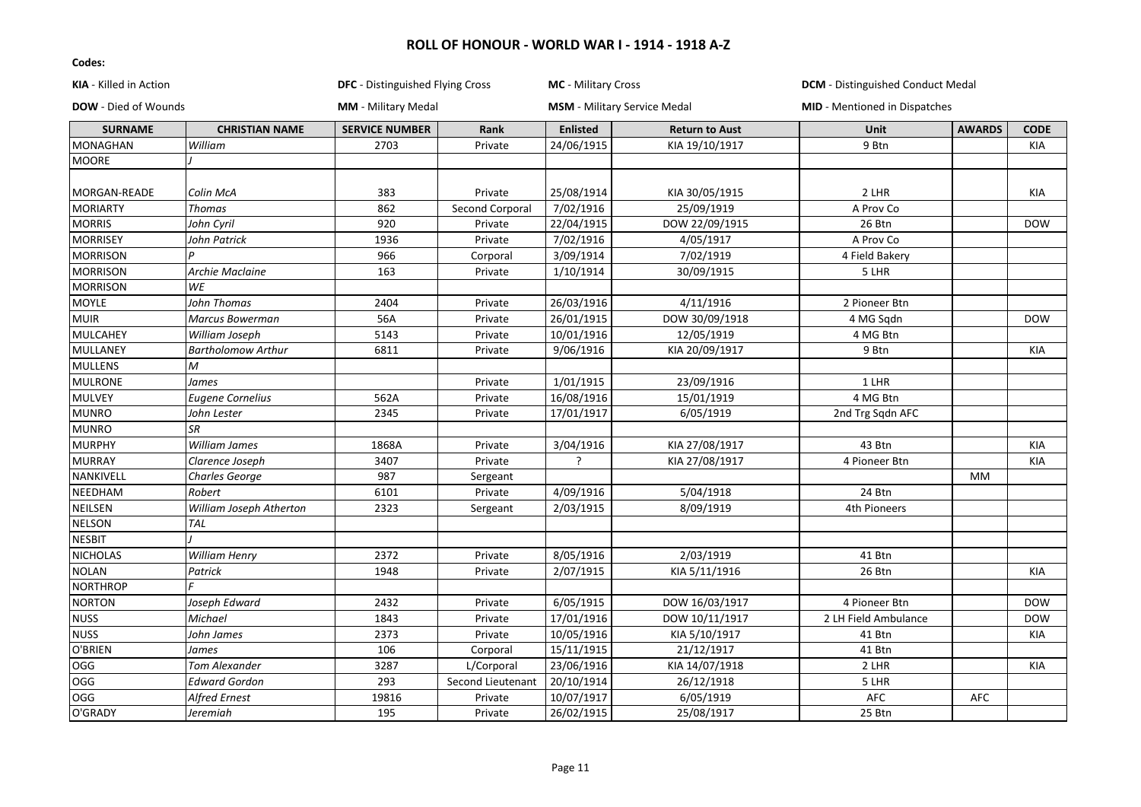| KIA - Killed in Action      |                           |                            | DFC - Distinguished Flying Cross |                 | <b>MC</b> - Military Cross          | <b>DCM</b> - Distinguished Conduct Medal |               |             |
|-----------------------------|---------------------------|----------------------------|----------------------------------|-----------------|-------------------------------------|------------------------------------------|---------------|-------------|
| <b>DOW</b> - Died of Wounds |                           | <b>MM</b> - Military Medal |                                  |                 | <b>MSM</b> - Military Service Medal | <b>MID</b> - Mentioned in Dispatches     |               |             |
| <b>SURNAME</b>              | <b>CHRISTIAN NAME</b>     | <b>SERVICE NUMBER</b>      | Rank                             | <b>Enlisted</b> | <b>Return to Aust</b>               | <b>Unit</b>                              | <b>AWARDS</b> | <b>CODE</b> |
| <b>MONAGHAN</b>             | William                   | 2703                       | Private                          | 24/06/1915      | KIA 19/10/1917                      | 9 Btn                                    |               | KIA         |
| <b>MOORE</b>                |                           |                            |                                  |                 |                                     |                                          |               |             |
|                             |                           |                            |                                  |                 |                                     |                                          |               |             |
| MORGAN-READE                | Colin McA                 | 383                        | Private                          | 25/08/1914      | KIA 30/05/1915                      | 2 LHR                                    |               | KIA         |
| <b>MORIARTY</b>             | Thomas                    | 862                        | Second Corporal                  | 7/02/1916       | 25/09/1919                          | A Prov Co                                |               |             |
| <b>MORRIS</b>               | John Cyril                | $\overline{920}$           | Private                          | 22/04/1915      | DOW 22/09/1915                      | 26 Btn                                   |               | <b>DOW</b>  |
| <b>MORRISEY</b>             | John Patrick              | 1936                       | Private                          | 7/02/1916       | 4/05/1917                           | A Prov Co                                |               |             |
| <b>MORRISON</b>             |                           | 966                        | Corporal                         | 3/09/1914       | 7/02/1919                           | 4 Field Bakery                           |               |             |
| <b>MORRISON</b>             | Archie Maclaine           | 163                        | Private                          | 1/10/1914       | 30/09/1915                          | 5 LHR                                    |               |             |
| <b>MORRISON</b>             | WE                        |                            |                                  |                 |                                     |                                          |               |             |
| <b>MOYLE</b>                | John Thomas               | 2404                       | Private                          | 26/03/1916      | 4/11/1916                           | 2 Pioneer Btn                            |               |             |
| <b>MUIR</b>                 | Marcus Bowerman           | 56A                        | Private                          | 26/01/1915      | DOW 30/09/1918                      | 4 MG Sqdn                                |               | <b>DOW</b>  |
| MULCAHEY                    | William Joseph            | 5143                       | Private                          | 10/01/1916      | 12/05/1919                          | 4 MG Btn                                 |               |             |
| MULLANEY                    | <b>Bartholomow Arthur</b> | 6811                       | Private                          | 9/06/1916       | KIA 20/09/1917                      | 9 Btn                                    |               | KIA         |
| <b>MULLENS</b>              | M                         |                            |                                  |                 |                                     |                                          |               |             |
| <b>MULRONE</b>              | James                     |                            | Private                          | 1/01/1915       | 23/09/1916                          | 1 LHR                                    |               |             |
| <b>MULVEY</b>               | <b>Eugene Cornelius</b>   | 562A                       | Private                          | 16/08/1916      | 15/01/1919                          | 4 MG Btn                                 |               |             |
| <b>MUNRO</b>                | John Lester               | 2345                       | Private                          | 17/01/1917      | 6/05/1919                           | 2nd Trg Sqdn AFC                         |               |             |
| <b>MUNRO</b>                | <b>SR</b>                 |                            |                                  |                 |                                     |                                          |               |             |
| <b>MURPHY</b>               | William James             | 1868A                      | Private                          | 3/04/1916       | KIA 27/08/1917                      | 43 Btn                                   |               | <b>KIA</b>  |
| <b>MURRAY</b>               | Clarence Joseph           | 3407                       | Private                          | ?               | KIA 27/08/1917                      | 4 Pioneer Btn                            |               | KIA         |
| NANKIVELL                   | Charles George            | 987                        | Sergeant                         |                 |                                     |                                          | <b>MM</b>     |             |
| NEEDHAM                     | Robert                    | 6101                       | Private                          | 4/09/1916       | 5/04/1918                           | 24 Btn                                   |               |             |
| NEILSEN                     | William Joseph Atherton   | 2323                       | Sergeant                         | 2/03/1915       | 8/09/1919                           | 4th Pioneers                             |               |             |
| <b>NELSON</b>               | TAL                       |                            |                                  |                 |                                     |                                          |               |             |
| <b>NESBIT</b>               |                           |                            |                                  |                 |                                     |                                          |               |             |
| <b>NICHOLAS</b>             | William Henry             | 2372                       | Private                          | 8/05/1916       | 2/03/1919                           | 41 Btn                                   |               |             |
| <b>NOLAN</b>                | Patrick                   | 1948                       | Private                          | 2/07/1915       | KIA 5/11/1916                       | 26 Btn                                   |               | <b>KIA</b>  |
| <b>NORTHROP</b>             |                           |                            |                                  |                 |                                     |                                          |               |             |
| <b>NORTON</b>               | Joseph Edward             | 2432                       | Private                          | 6/05/1915       | DOW 16/03/1917                      | 4 Pioneer Btn                            |               | <b>DOW</b>  |
| <b>NUSS</b>                 | Michael                   | 1843                       | Private                          | 17/01/1916      | DOW 10/11/1917                      | 2 LH Field Ambulance                     |               | <b>DOW</b>  |
| <b>NUSS</b>                 | John James                | 2373                       | Private                          | 10/05/1916      | KIA 5/10/1917                       | 41 Btn                                   |               | KIA         |
| O'BRIEN                     | James                     | 106                        | Corporal                         | 15/11/1915      | 21/12/1917                          | 41 Btn                                   |               |             |
| OGG                         | Tom Alexander             | 3287                       | L/Corporal                       | 23/06/1916      | KIA 14/07/1918                      | 2 LHR                                    |               | KIA         |
| OGG                         | Edward Gordon             | 293                        | Second Lieutenant                | 20/10/1914      | 26/12/1918                          | 5 LHR                                    |               |             |
| OGG                         | Alfred Ernest             | 19816                      | Private                          | 10/07/1917      | 6/05/1919                           | AFC                                      | <b>AFC</b>    |             |
| O'GRADY                     | Jeremiah                  | 195                        | Private                          | 26/02/1915      | 25/08/1917                          | 25 Btn                                   |               |             |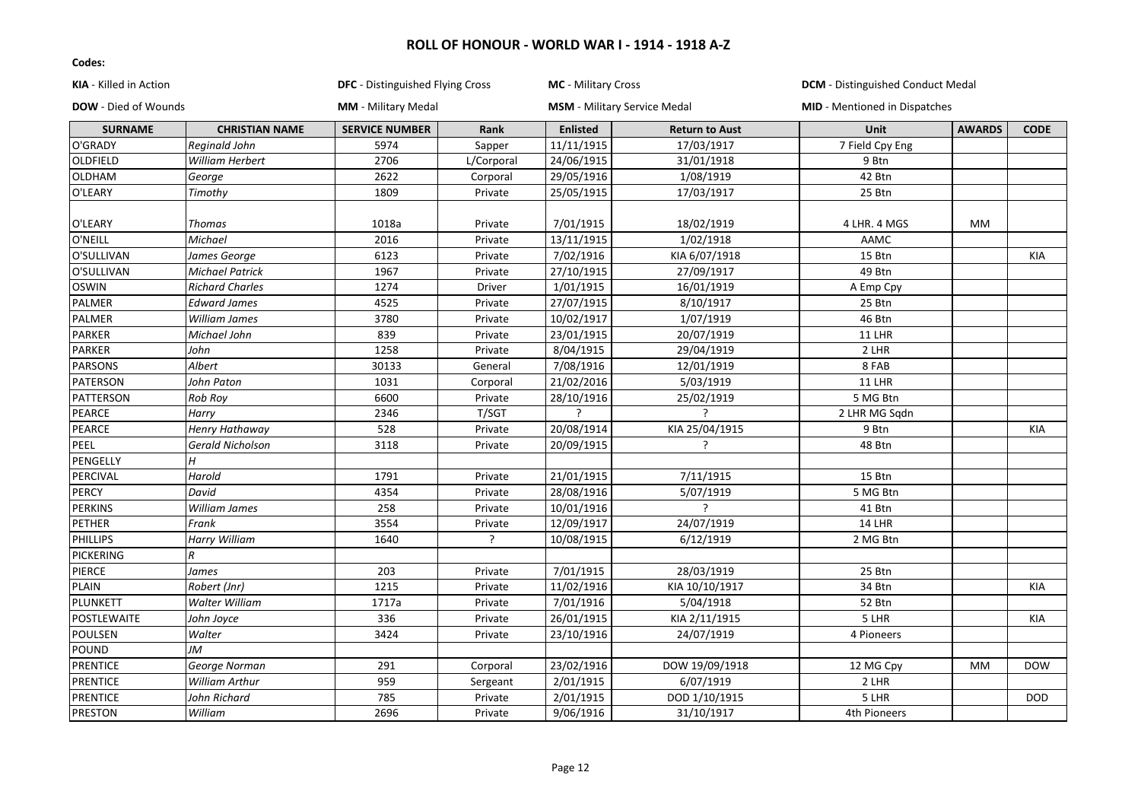| KIA - Killed in Action      |                         |                            | <b>DFC</b> - Distinguished Flying Cross<br><b>MC</b> - Military Cross<br><b>DCM</b> - Distinguished Conduct Medal |                 |                                     |                                      |               |             |
|-----------------------------|-------------------------|----------------------------|-------------------------------------------------------------------------------------------------------------------|-----------------|-------------------------------------|--------------------------------------|---------------|-------------|
| <b>DOW</b> - Died of Wounds |                         | <b>MM</b> - Military Medal |                                                                                                                   |                 | <b>MSM</b> - Military Service Medal | <b>MID</b> - Mentioned in Dispatches |               |             |
| <b>SURNAME</b>              | <b>CHRISTIAN NAME</b>   | <b>SERVICE NUMBER</b>      | <b>Rank</b>                                                                                                       | <b>Enlisted</b> | <b>Return to Aust</b>               | Unit                                 | <b>AWARDS</b> | <b>CODE</b> |
| O'GRADY                     | Reginald John           | 5974                       | Sapper                                                                                                            | 11/11/1915      | 17/03/1917                          | 7 Field Cpy Eng                      |               |             |
| OLDFIELD                    | William Herbert         | 2706                       | L/Corporal                                                                                                        | 24/06/1915      | 31/01/1918                          | 9 Btn                                |               |             |
| OLDHAM                      | George                  | 2622                       | Corporal                                                                                                          | 29/05/1916      | 1/08/1919                           | 42 Btn                               |               |             |
| O'LEARY                     | Timothy                 | 1809                       | Private                                                                                                           | 25/05/1915      | 17/03/1917                          | 25 Btn                               |               |             |
| O'LEARY                     | Thomas                  | 1018a                      | Private                                                                                                           | 7/01/1915       | 18/02/1919                          | 4 LHR. 4 MGS                         | MM            |             |
| O'NEILL                     | Michael                 | 2016                       | Private                                                                                                           | 13/11/1915      | 1/02/1918                           | AAMC                                 |               |             |
| O'SULLIVAN                  | James George            | 6123                       | Private                                                                                                           | 7/02/1916       | KIA 6/07/1918                       | 15 Btn                               |               | KIA         |
| O'SULLIVAN                  | <b>Michael Patrick</b>  | 1967                       | Private                                                                                                           | 27/10/1915      | 27/09/1917                          | 49 Btn                               |               |             |
| <b>OSWIN</b>                | <b>Richard Charles</b>  | 1274                       | Driver                                                                                                            | 1/01/1915       | 16/01/1919                          | A Emp Cpy                            |               |             |
| PALMER                      | <b>Edward James</b>     | 4525                       | Private                                                                                                           | 27/07/1915      | 8/10/1917                           | 25 Btn                               |               |             |
| PALMER                      | William James           | 3780                       | Private                                                                                                           | 10/02/1917      | 1/07/1919                           | 46 Btn                               |               |             |
| PARKER                      | Michael John            | 839                        | Private                                                                                                           | 23/01/1915      | 20/07/1919                          | <b>11 LHR</b>                        |               |             |
| PARKER                      | John                    | 1258                       | Private                                                                                                           | 8/04/1915       | 29/04/1919                          | 2 LHR                                |               |             |
| PARSONS                     | Albert                  | 30133                      | General                                                                                                           | 7/08/1916       | 12/01/1919                          | 8 FAB                                |               |             |
| PATERSON                    | John Paton              | 1031                       | Corporal                                                                                                          | 21/02/2016      | 5/03/1919                           | <b>11 LHR</b>                        |               |             |
| PATTERSON                   | Rob Roy                 | 6600                       | Private                                                                                                           | 28/10/1916      | 25/02/1919                          | 5 MG Btn                             |               |             |
| PEARCE                      | Harry                   | 2346                       | T/SGT                                                                                                             | $\overline{2}$  |                                     | 2 LHR MG Sqdn                        |               |             |
| PEARCE                      | Henry Hathaway          | 528                        | Private                                                                                                           | 20/08/1914      | KIA 25/04/1915                      | 9 Btn                                |               | <b>KIA</b>  |
| PEEL                        | <b>Gerald Nicholson</b> | 3118                       | Private                                                                                                           | 20/09/1915      |                                     | 48 Btn                               |               |             |
| PENGELLY                    | H                       |                            |                                                                                                                   |                 |                                     |                                      |               |             |
| PERCIVAL                    | Harold                  | 1791                       | Private                                                                                                           | 21/01/1915      | 7/11/1915                           | 15 Btn                               |               |             |
| PERCY                       | David                   | 4354                       | Private                                                                                                           | 28/08/1916      | 5/07/1919                           | 5 MG Btn                             |               |             |
| <b>PERKINS</b>              | William James           | 258                        | Private                                                                                                           | 10/01/1916      | ς                                   | 41 Btn                               |               |             |
| PETHER                      | Frank                   | 3554                       | Private                                                                                                           | 12/09/1917      | 24/07/1919                          | 14 LHR                               |               |             |
| <b>PHILLIPS</b>             | <b>Harry William</b>    | 1640                       | $\overline{?}$                                                                                                    | 10/08/1915      | 6/12/1919                           | 2 MG Btn                             |               |             |
| <b>PICKERING</b>            | $\boldsymbol{R}$        |                            |                                                                                                                   |                 |                                     |                                      |               |             |
| PIERCE                      | James                   | 203                        | Private                                                                                                           | 7/01/1915       | 28/03/1919                          | 25 Btn                               |               |             |
| PLAIN                       | Robert (Jnr)            | 1215                       | Private                                                                                                           | 11/02/1916      | KIA 10/10/1917                      | 34 Btn                               |               | <b>KIA</b>  |
| PLUNKETT                    | Walter William          | 1717a                      | Private                                                                                                           | 7/01/1916       | 5/04/1918                           | 52 Btn                               |               |             |
| POSTLEWAITE                 | John Joyce              | 336                        | Private                                                                                                           | 26/01/1915      | KIA 2/11/1915                       | 5 LHR                                |               | KIA         |
| POULSEN                     | Walter                  | 3424                       | Private                                                                                                           | 23/10/1916      | 24/07/1919                          | 4 Pioneers                           |               |             |
| POUND                       | JM                      |                            |                                                                                                                   |                 |                                     |                                      |               |             |
| <b>PRENTICE</b>             | George Norman           | 291                        | Corporal                                                                                                          | 23/02/1916      | DOW 19/09/1918                      | 12 MG Cpy                            | МM            | <b>DOW</b>  |
| <b>PRENTICE</b>             | William Arthur          | 959                        | Sergeant                                                                                                          | 2/01/1915       | 6/07/1919                           | 2 LHR                                |               |             |
| <b>PRENTICE</b>             | John Richard            | 785                        | Private                                                                                                           | 2/01/1915       | DOD 1/10/1915                       | 5 LHR                                |               | <b>DOD</b>  |
| <b>PRESTON</b>              | William                 | 2696                       | Private                                                                                                           | 9/06/1916       | 31/10/1917                          | 4th Pioneers                         |               |             |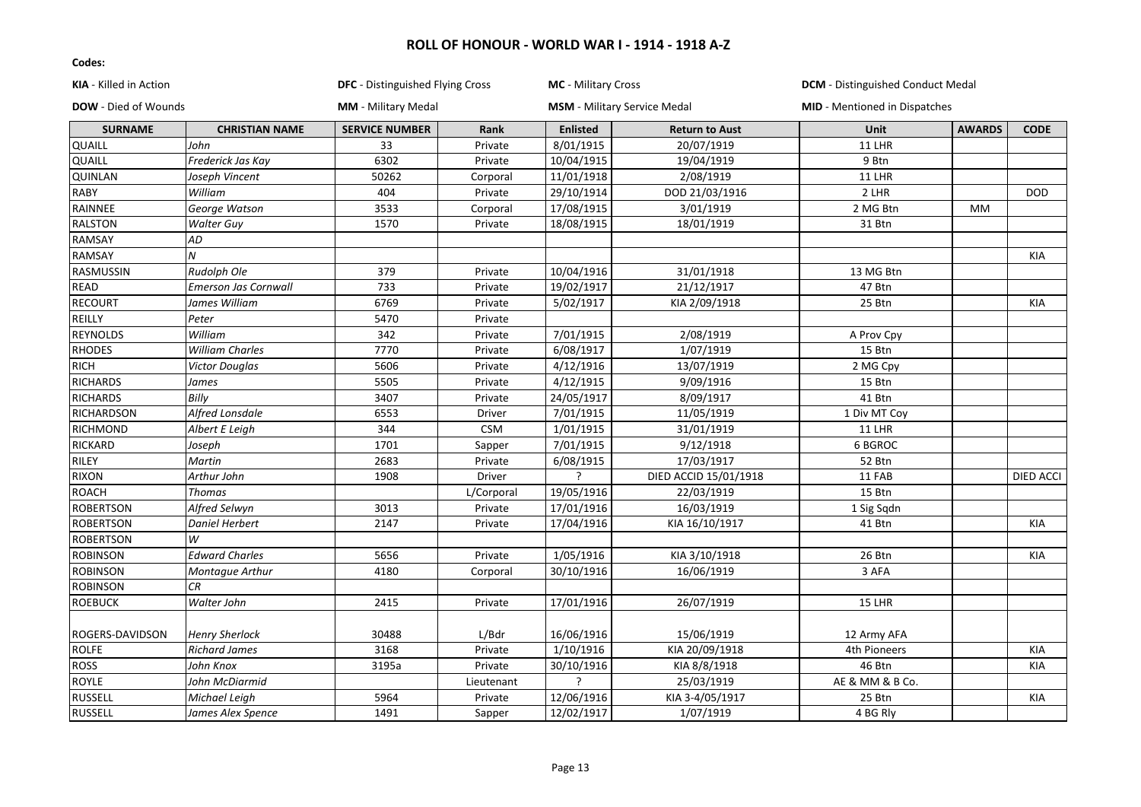| KIA - Killed in Action<br>DOW - Died of Wounds |                             | <b>DFC</b> - Distinguished Flying Cross<br><b>MM</b> - Military Medal |            | <b>MC</b> - Military Cross<br><b>MSM</b> - Military Service Medal |                       | <b>DCM</b> - Distinguished Conduct Medal<br><b>MID</b> - Mentioned in Dispatches |           |            |
|------------------------------------------------|-----------------------------|-----------------------------------------------------------------------|------------|-------------------------------------------------------------------|-----------------------|----------------------------------------------------------------------------------|-----------|------------|
|                                                |                             |                                                                       |            |                                                                   |                       |                                                                                  |           |            |
| <b>QUAILL</b>                                  | John                        | 33                                                                    | Private    | 8/01/1915                                                         | 20/07/1919            | 11 LHR                                                                           |           |            |
| QUAILL                                         | Frederick Jas Kay           | 6302                                                                  | Private    | 10/04/1915                                                        | 19/04/1919            | 9 Btn                                                                            |           |            |
| <b>QUINLAN</b>                                 | Joseph Vincent              | 50262                                                                 | Corporal   | 11/01/1918                                                        | 2/08/1919             | 11 LHR                                                                           |           |            |
| <b>RABY</b>                                    | William                     | 404                                                                   | Private    | 29/10/1914                                                        | DOD 21/03/1916        | 2 LHR                                                                            |           | <b>DOD</b> |
| RAINNEE                                        | George Watson               | 3533                                                                  | Corporal   | 17/08/1915                                                        | 3/01/1919             | 2 MG Btn                                                                         | <b>MM</b> |            |
| <b>RALSTON</b>                                 | <b>Walter Guy</b>           | 1570                                                                  | Private    | 18/08/1915                                                        | 18/01/1919            | 31 Btn                                                                           |           |            |
| <b>RAMSAY</b>                                  | AD                          |                                                                       |            |                                                                   |                       |                                                                                  |           |            |
| <b>RAMSAY</b>                                  | $\overline{N}$              |                                                                       |            |                                                                   |                       |                                                                                  |           | <b>KIA</b> |
| RASMUSSIN                                      | Rudolph Ole                 | 379                                                                   | Private    | 10/04/1916                                                        | 31/01/1918            | 13 MG Btn                                                                        |           |            |
| <b>READ</b>                                    | <b>Emerson Jas Cornwall</b> | 733                                                                   | Private    | 19/02/1917                                                        | 21/12/1917            | 47 Btn                                                                           |           |            |
| <b>RECOURT</b>                                 | James William               | 6769                                                                  | Private    | 5/02/1917                                                         | KIA 2/09/1918         | 25 Btn                                                                           |           | KIA        |
| REILLY                                         | Peter                       | 5470                                                                  | Private    |                                                                   |                       |                                                                                  |           |            |
| <b>REYNOLDS</b>                                | William                     | 342                                                                   | Private    | 7/01/1915                                                         | 2/08/1919             | A Prov Cpy                                                                       |           |            |
| <b>RHODES</b>                                  | <b>William Charles</b>      | 7770                                                                  | Private    | 6/08/1917                                                         | 1/07/1919             | 15 Btn                                                                           |           |            |
| <b>RICH</b>                                    | <b>Victor Douglas</b>       | 5606                                                                  | Private    | 4/12/1916                                                         | 13/07/1919            | 2 MG Cpy                                                                         |           |            |
| <b>RICHARDS</b>                                | James                       | 5505                                                                  | Private    | 4/12/1915                                                         | 9/09/1916             | 15 Btn                                                                           |           |            |
| <b>RICHARDS</b>                                | Billy                       | 3407                                                                  | Private    | 24/05/1917                                                        | 8/09/1917             | 41 Btn                                                                           |           |            |
| RICHARDSON                                     | Alfred Lonsdale             | 6553                                                                  | Driver     | 7/01/1915                                                         | 11/05/1919            | 1 Div MT Coy                                                                     |           |            |
| RICHMOND                                       | Albert E Leigh              | 344                                                                   | <b>CSM</b> | 1/01/1915                                                         | 31/01/1919            | 11 LHR                                                                           |           |            |
| RICKARD                                        | Joseph                      | 1701                                                                  | Sapper     | 7/01/1915                                                         | 9/12/1918             | 6 BGROC                                                                          |           |            |
| <b>RILEY</b>                                   | Martin                      | 2683                                                                  | Private    | 6/08/1915                                                         | 17/03/1917            | 52 Btn                                                                           |           |            |
| <b>RIXON</b>                                   | Arthur John                 | 1908                                                                  | Driver     | <sup>2</sup>                                                      | DIED ACCID 15/01/1918 | 11 FAB                                                                           |           | DIED ACCI  |
| ROACH                                          | <b>Thomas</b>               |                                                                       | L/Corporal | 19/05/1916                                                        | 22/03/1919            | 15 Btn                                                                           |           |            |
| <b>ROBERTSON</b>                               | Alfred Selwyn               | 3013                                                                  | Private    | 17/01/1916                                                        | 16/03/1919            | 1 Sig Sqdn                                                                       |           |            |
| <b>ROBERTSON</b>                               | <b>Daniel Herbert</b>       | 2147                                                                  | Private    | 17/04/1916                                                        | KIA 16/10/1917        | 41 Btn                                                                           |           | <b>KIA</b> |
| <b>ROBERTSON</b>                               | W                           |                                                                       |            |                                                                   |                       |                                                                                  |           |            |
| <b>ROBINSON</b>                                | <b>Edward Charles</b>       | 5656                                                                  | Private    | 1/05/1916                                                         | KIA 3/10/1918         | 26 Btn                                                                           |           | KIA        |
| <b>ROBINSON</b>                                | Montague Arthur             | 4180                                                                  | Corporal   | 30/10/1916                                                        | 16/06/1919            | 3 AFA                                                                            |           |            |
| <b>ROBINSON</b>                                | CR                          |                                                                       |            |                                                                   |                       |                                                                                  |           |            |
| <b>ROEBUCK</b>                                 | Walter John                 | 2415                                                                  | Private    | 17/01/1916                                                        | 26/07/1919            | 15 LHR                                                                           |           |            |
| <b>ROGERS-DAVIDSON</b>                         | <b>Henry Sherlock</b>       | 30488                                                                 | L/Bdr      | 16/06/1916                                                        | 15/06/1919            | 12 Army AFA                                                                      |           |            |
| <b>ROLFE</b>                                   | <b>Richard James</b>        | 3168                                                                  | Private    | 1/10/1916                                                         | KIA 20/09/1918        | 4th Pioneers                                                                     |           | KIA        |
| <b>ROSS</b>                                    | John Knox                   | 3195a                                                                 | Private    | 30/10/1916                                                        | KIA 8/8/1918          | 46 Btn                                                                           |           | <b>KIA</b> |
| <b>ROYLE</b>                                   | John McDiarmid              |                                                                       | Lieutenant | ?                                                                 | 25/03/1919            | AE & MM & B Co.                                                                  |           |            |
| RUSSELL                                        | Michael Leigh               | 5964                                                                  | Private    | 12/06/1916                                                        | KIA 3-4/05/1917       | 25 Btn                                                                           |           | KIA        |
| <b>RUSSELL</b>                                 | James Alex Spence           | 1491                                                                  | Sapper     | 12/02/1917                                                        | 1/07/1919             | 4 BG Rly                                                                         |           |            |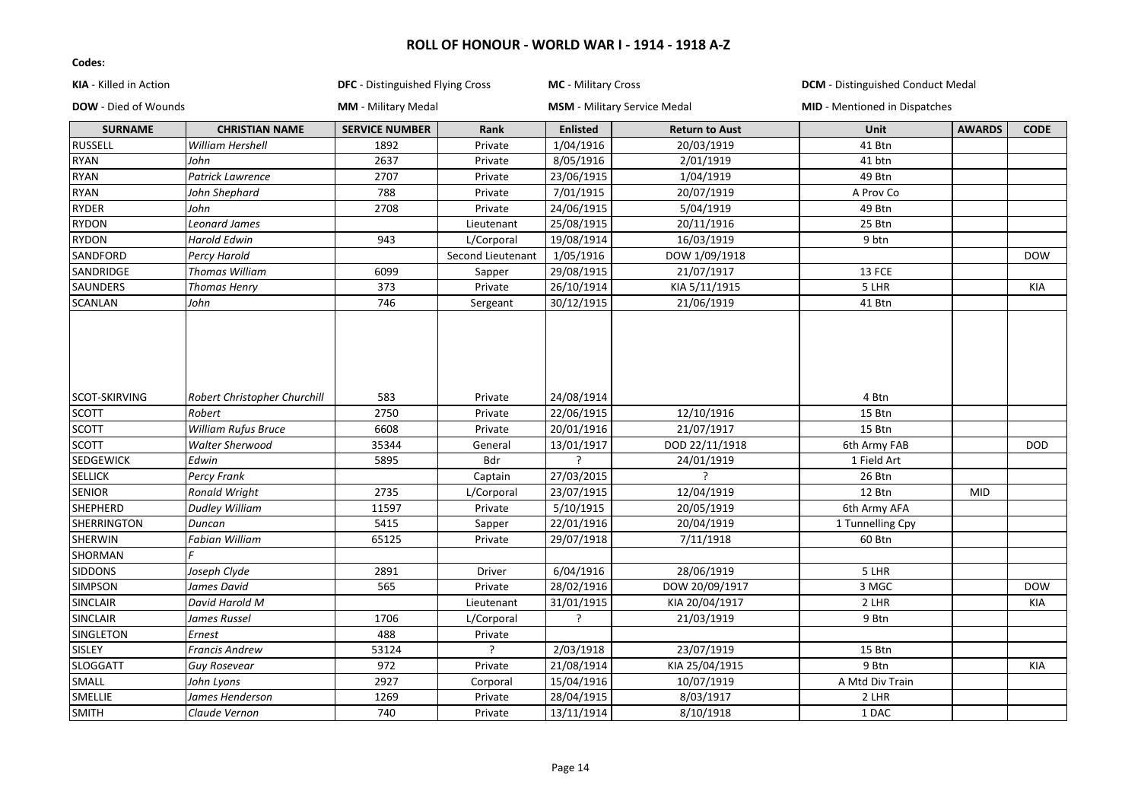| KIA - Killed in Action      |                              | <b>DFC</b> - Distinguished Flying Cross |                   | MC - Military Cross                 |                       | <b>DCM</b> - Distinguished Conduct Medal |               |             |
|-----------------------------|------------------------------|-----------------------------------------|-------------------|-------------------------------------|-----------------------|------------------------------------------|---------------|-------------|
| <b>DOW</b> - Died of Wounds |                              | <b>MM</b> - Military Medal              |                   | <b>MSM</b> - Military Service Medal |                       | <b>MID</b> - Mentioned in Dispatches     |               |             |
| <b>SURNAME</b>              | <b>CHRISTIAN NAME</b>        | <b>SERVICE NUMBER</b>                   | Rank              | <b>Enlisted</b>                     | <b>Return to Aust</b> | Unit                                     | <b>AWARDS</b> | <b>CODE</b> |
| <b>RUSSELL</b>              | William Hershell             | 1892                                    | Private           | 1/04/1916                           | 20/03/1919            | 41 Btn                                   |               |             |
| <b>RYAN</b>                 | John                         | 2637                                    | Private           | 8/05/1916                           | 2/01/1919             | 41 btn                                   |               |             |
| <b>RYAN</b>                 | Patrick Lawrence             | 2707                                    | Private           | 23/06/1915                          | 1/04/1919             | 49 Btn                                   |               |             |
| <b>RYAN</b>                 | John Shephard                | 788                                     | Private           | 7/01/1915                           | 20/07/1919            | A Prov Co                                |               |             |
| <b>RYDER</b>                | John                         | 2708                                    | Private           | 24/06/1915                          | 5/04/1919             | 49 Btn                                   |               |             |
| <b>RYDON</b>                | Leonard James                |                                         | Lieutenant        | 25/08/1915                          | 20/11/1916            | 25 Btn                                   |               |             |
| <b>RYDON</b>                | <b>Harold Edwin</b>          | 943                                     | L/Corporal        | 19/08/1914                          | 16/03/1919            | 9 btn                                    |               |             |
| SANDFORD                    | Percy Harold                 |                                         | Second Lieutenant | 1/05/1916                           | DOW 1/09/1918         |                                          |               | <b>DOW</b>  |
| SANDRIDGE                   | <b>Thomas William</b>        | 6099                                    | Sapper            | 29/08/1915                          | 21/07/1917            | 13 FCE                                   |               |             |
| <b>SAUNDERS</b>             | <b>Thomas Henry</b>          | 373                                     | Private           | 26/10/1914                          | KIA 5/11/1915         | 5 LHR                                    |               | <b>KIA</b>  |
| <b>SCANLAN</b>              | John                         | 746                                     | Sergeant          | 30/12/1915                          | 21/06/1919            | 41 Btn                                   |               |             |
| SCOT-SKIRVING               | Robert Christopher Churchill | 583                                     | Private           | 24/08/1914                          |                       | 4 Btn                                    |               |             |
| <b>SCOTT</b>                | Robert                       | 2750                                    | Private           | 22/06/1915                          | 12/10/1916            | 15 Btn                                   |               |             |
| <b>SCOTT</b>                | <b>William Rufus Bruce</b>   | 6608                                    | Private           | 20/01/1916                          | 21/07/1917            | 15 Btn                                   |               |             |
| <b>SCOTT</b>                | <b>Walter Sherwood</b>       | 35344                                   | General           | 13/01/1917                          | DOD 22/11/1918        | 6th Army FAB                             |               | <b>DOD</b>  |
| <b>SEDGEWICK</b>            | Edwin                        | 5895                                    | Bdr               | ς                                   | 24/01/1919            | 1 Field Art                              |               |             |
| <b>SELLICK</b>              | Percy Frank                  |                                         | Captain           | 27/03/2015                          | ς                     | 26 Btn                                   |               |             |
| <b>SENIOR</b>               | <b>Ronald Wright</b>         | 2735                                    | L/Corporal        | 23/07/1915                          | 12/04/1919            | 12 Btn                                   | <b>MID</b>    |             |
| <b>SHEPHERD</b>             | <b>Dudley William</b>        | 11597                                   | Private           | 5/10/1915                           | 20/05/1919            | 6th Army AFA                             |               |             |
| SHERRINGTON                 | Duncan                       | 5415                                    | Sapper            | 22/01/1916                          | 20/04/1919            | 1 Tunnelling Cpy                         |               |             |
| SHERWIN                     | <b>Fabian William</b>        | 65125                                   | Private           | 29/07/1918                          | 7/11/1918             | 60 Btn                                   |               |             |
| SHORMAN                     |                              |                                         |                   |                                     |                       |                                          |               |             |
| <b>SIDDONS</b>              | Joseph Clyde                 | 2891                                    | Driver            | 6/04/1916                           | 28/06/1919            | 5 LHR                                    |               |             |
| <b>SIMPSON</b>              | James David                  | 565                                     | Private           | 28/02/1916                          | DOW 20/09/1917        | 3 MGC                                    |               | <b>DOW</b>  |
| <b>SINCLAIR</b>             | David Harold M               |                                         | Lieutenant        | 31/01/1915                          | KIA 20/04/1917        | 2 LHR                                    |               | KIA         |
| <b>SINCLAIR</b>             | James Russel                 | 1706                                    | L/Corporal        | <sup>2</sup>                        | 21/03/1919            | 9 Btn                                    |               |             |
| SINGLETON                   | Ernest                       | 488                                     | Private           |                                     |                       |                                          |               |             |
| <b>SISLEY</b>               | <b>Francis Andrew</b>        | 53124                                   | ς                 | 2/03/1918                           | 23/07/1919            | 15 Btn                                   |               |             |
| <b>SLOGGATT</b>             | <b>Guy Rosevear</b>          | 972                                     | Private           | 21/08/1914                          | KIA 25/04/1915        | 9 Btn                                    |               | KIA         |
| SMALL                       | John Lyons                   | 2927                                    | Corporal          | 15/04/1916                          | 10/07/1919            | A Mtd Div Train                          |               |             |
| SMELLIE                     | James Henderson              | 1269                                    | Private           | 28/04/1915                          | 8/03/1917             | 2 LHR                                    |               |             |
| <b>SMITH</b>                | Claude Vernon                | 740                                     | Private           | 13/11/1914                          | 8/10/1918             | 1 DAC                                    |               |             |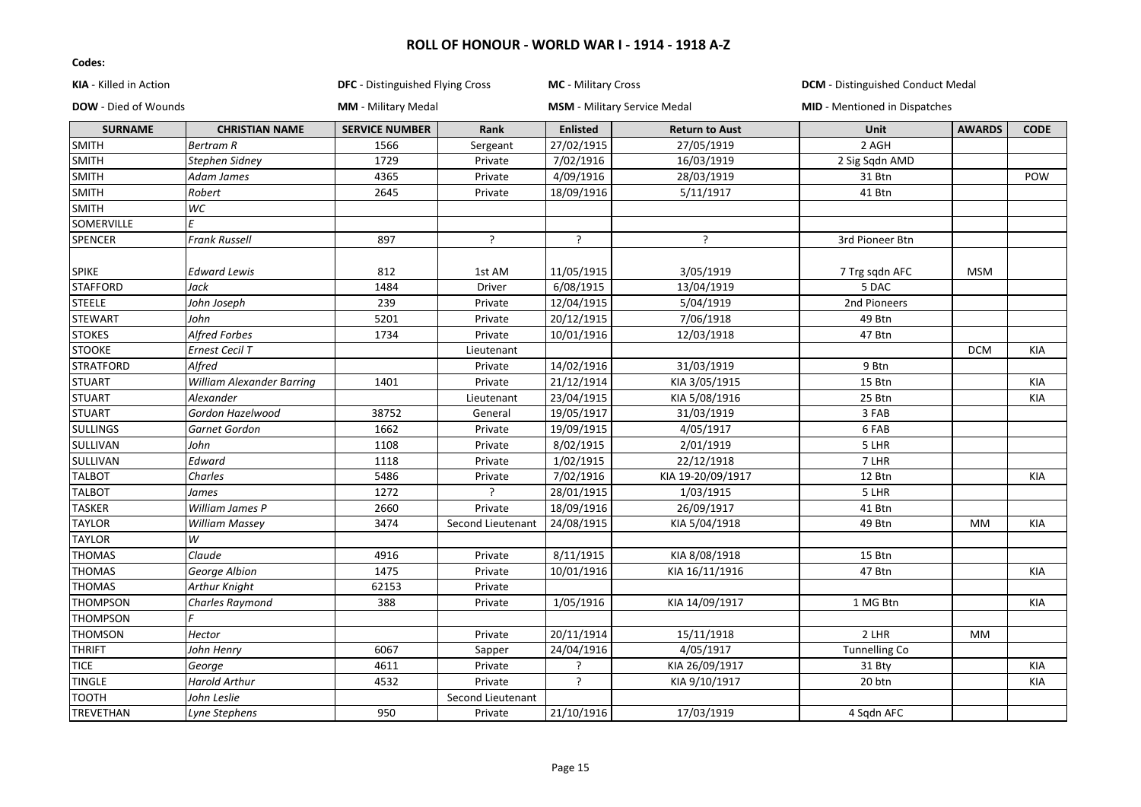| KIA - Killed in Action<br><b>DOW</b> - Died of Wounds |                           | DFC - Distinguished Flying Cross<br><b>MM</b> - Military Medal |                   | <b>MC</b> - Military Cross<br><b>MSM</b> - Military Service Medal |                   | <b>DCM</b> - Distinguished Conduct Medal<br><b>MID</b> - Mentioned in Dispatches |            |            |
|-------------------------------------------------------|---------------------------|----------------------------------------------------------------|-------------------|-------------------------------------------------------------------|-------------------|----------------------------------------------------------------------------------|------------|------------|
|                                                       |                           |                                                                |                   |                                                                   |                   |                                                                                  |            |            |
| SMITH                                                 | <b>Bertram R</b>          | 1566                                                           | Sergeant          | 27/02/1915                                                        | 27/05/1919        | 2 AGH                                                                            |            |            |
| <b>SMITH</b>                                          | Stephen Sidney            | 1729                                                           | Private           | 7/02/1916                                                         | 16/03/1919        | 2 Sig Sqdn AMD                                                                   |            |            |
| SMITH                                                 | Adam James                | 4365                                                           | Private           | 4/09/1916                                                         | 28/03/1919        | 31 Btn                                                                           |            | POW        |
| SMITH                                                 | Robert                    | 2645                                                           | Private           | 18/09/1916                                                        | 5/11/1917         | 41 Btn                                                                           |            |            |
| <b>SMITH</b>                                          | WC                        |                                                                |                   |                                                                   |                   |                                                                                  |            |            |
| SOMERVILLE                                            | F                         |                                                                |                   |                                                                   |                   |                                                                                  |            |            |
| SPENCER                                               | <b>Frank Russell</b>      | 897                                                            | $\mathcal{L}$     | $\overline{?}$                                                    | ς                 | 3rd Pioneer Btn                                                                  |            |            |
| <b>SPIKE</b>                                          | <b>Edward Lewis</b>       | 812                                                            | 1st AM            | 11/05/1915                                                        | 3/05/1919         | 7 Trg sqdn AFC                                                                   | <b>MSM</b> |            |
| <b>STAFFORD</b>                                       | Jack                      | 1484                                                           | <b>Driver</b>     | 6/08/1915                                                         | 13/04/1919        | 5 DAC                                                                            |            |            |
| <b>STEELE</b>                                         | John Joseph               | 239                                                            | Private           | 12/04/1915                                                        | 5/04/1919         | 2nd Pioneers                                                                     |            |            |
| <b>STEWART</b>                                        | John                      | 5201                                                           | Private           | 20/12/1915                                                        | 7/06/1918         | 49 Btn                                                                           |            |            |
| <b>STOKES</b>                                         | <b>Alfred Forbes</b>      | 1734                                                           | Private           | 10/01/1916                                                        | 12/03/1918        | 47 Btn                                                                           |            |            |
| <b>STOOKE</b>                                         | Ernest Cecil T            |                                                                | Lieutenant        |                                                                   |                   |                                                                                  | <b>DCM</b> | <b>KIA</b> |
| <b>STRATFORD</b>                                      | Alfred                    |                                                                | Private           | 14/02/1916                                                        | 31/03/1919        | 9 Btn                                                                            |            |            |
| <b>STUART</b>                                         | William Alexander Barring | 1401                                                           | Private           | 21/12/1914                                                        | KIA 3/05/1915     | 15 Btn                                                                           |            | KIA        |
| <b>STUART</b>                                         | Alexander                 |                                                                | Lieutenant        | 23/04/1915                                                        | KIA 5/08/1916     | 25 Btn                                                                           |            | <b>KIA</b> |
| <b>STUART</b>                                         | Gordon Hazelwood          | 38752                                                          | General           | 19/05/1917                                                        | 31/03/1919        | 3 FAB                                                                            |            |            |
| SULLINGS                                              | Garnet Gordon             | 1662                                                           | Private           | 19/09/1915                                                        | 4/05/1917         | 6 FAB                                                                            |            |            |
| SULLIVAN                                              | John                      | 1108                                                           | Private           | 8/02/1915                                                         | 2/01/1919         | 5 LHR                                                                            |            |            |
| SULLIVAN                                              | Edward                    | 1118                                                           | Private           | 1/02/1915                                                         | 22/12/1918        | 7 LHR                                                                            |            |            |
| <b>TALBOT</b>                                         | Charles                   | 5486                                                           | Private           | 7/02/1916                                                         | KIA 19-20/09/1917 | 12 Btn                                                                           |            | KIA        |
| <b>TALBOT</b>                                         | James                     | 1272                                                           | ?                 | 28/01/1915                                                        | 1/03/1915         | 5 LHR                                                                            |            |            |
| <b>TASKER</b>                                         | William James P           | 2660                                                           | Private           | 18/09/1916                                                        | 26/09/1917        | 41 Btn                                                                           |            |            |
| <b>TAYLOR</b>                                         | <b>William Massey</b>     | 3474                                                           | Second Lieutenant | 24/08/1915                                                        | KIA 5/04/1918     | 49 Btn                                                                           | <b>MM</b>  | KIA        |
| <b>TAYLOR</b>                                         | W                         |                                                                |                   |                                                                   |                   |                                                                                  |            |            |
| <b>THOMAS</b>                                         | Claude                    | 4916                                                           | Private           | 8/11/1915                                                         | KIA 8/08/1918     | 15 Btn                                                                           |            |            |
| <b>THOMAS</b>                                         | George Albion             | 1475                                                           | Private           | 10/01/1916                                                        | KIA 16/11/1916    | 47 Btn                                                                           |            | <b>KIA</b> |
| <b>THOMAS</b>                                         | <b>Arthur Knight</b>      | 62153                                                          | Private           |                                                                   |                   |                                                                                  |            |            |
| <b>THOMPSON</b>                                       | Charles Raymond           | 388                                                            | Private           | 1/05/1916                                                         | KIA 14/09/1917    | 1 MG Btn                                                                         |            | KIA        |
| <b>THOMPSON</b>                                       |                           |                                                                |                   |                                                                   |                   |                                                                                  |            |            |
| <b>THOMSON</b>                                        | Hector                    |                                                                | Private           | 20/11/1914                                                        | 15/11/1918        | 2 LHR                                                                            | <b>MM</b>  |            |
| <b>THRIFT</b>                                         | John Henry                | 6067                                                           | Sapper            | 24/04/1916                                                        | 4/05/1917         | <b>Tunnelling Co</b>                                                             |            |            |
| <b>TICE</b>                                           | George                    | 4611                                                           | Private           | ?                                                                 | KIA 26/09/1917    | 31 Bty                                                                           |            | KIA        |
| <b>TINGLE</b>                                         | Harold Arthur             | 4532                                                           | Private           | ?                                                                 | KIA 9/10/1917     | 20 btn                                                                           |            | <b>KIA</b> |
| <b>TOOTH</b>                                          | John Leslie               |                                                                | Second Lieutenant |                                                                   |                   |                                                                                  |            |            |
| <b>TREVETHAN</b>                                      | Lyne Stephens             | 950                                                            | Private           | 21/10/1916                                                        | 17/03/1919        | 4 Sadn AFC                                                                       |            |            |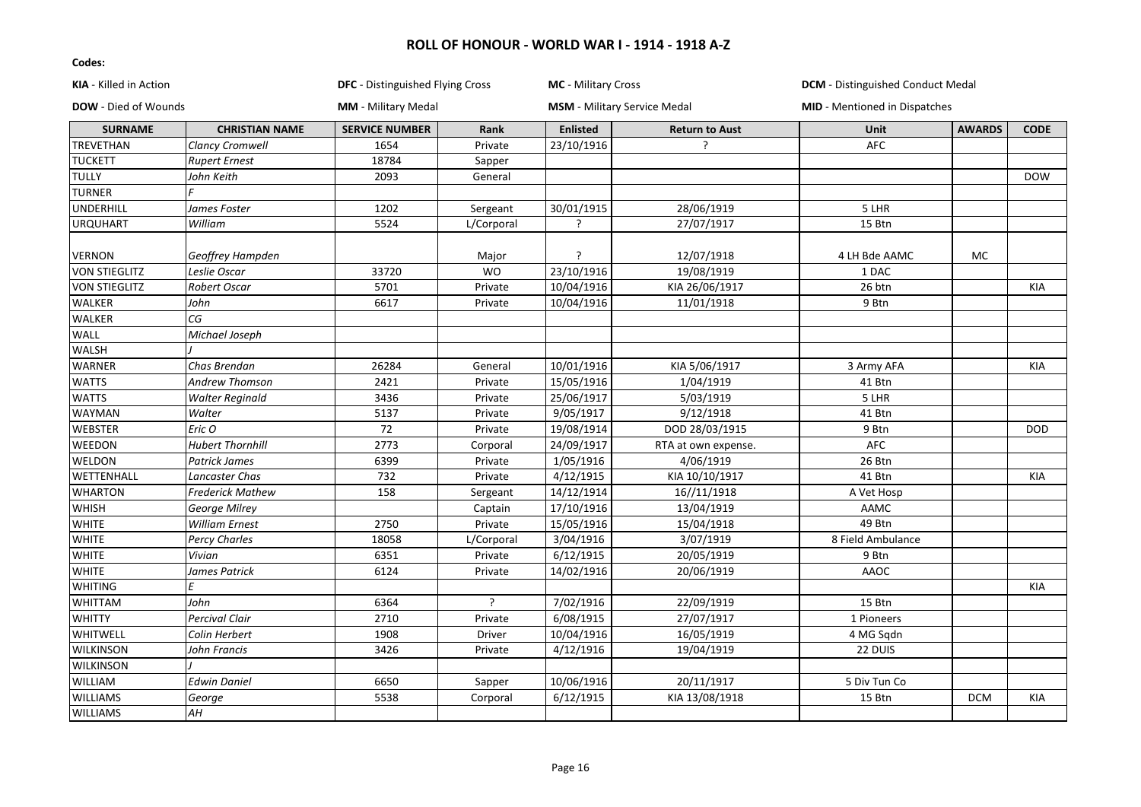| <b>KIA</b> - Killed in Action<br><b>DOW</b> - Died of Wounds |                          | <b>DFC</b> - Distinguished Flying Cross<br><b>MM</b> - Military Medal |               | <b>MC</b> - Military Cross<br><b>MSM</b> - Military Service Medal |                     | <b>DCM</b> - Distinguished Conduct Medal<br><b>MID</b> - Mentioned in Dispatches |            |            |
|--------------------------------------------------------------|--------------------------|-----------------------------------------------------------------------|---------------|-------------------------------------------------------------------|---------------------|----------------------------------------------------------------------------------|------------|------------|
|                                                              |                          |                                                                       |               |                                                                   |                     |                                                                                  |            |            |
| TREVETHAN                                                    | <b>Clancy Cromwell</b>   | 1654                                                                  | Private       | 23/10/1916                                                        | $\overline{a}$      | <b>AFC</b>                                                                       |            |            |
| <b>TUCKETT</b>                                               | <b>Rupert Ernest</b>     | 18784                                                                 | Sapper        |                                                                   |                     |                                                                                  |            |            |
| <b>TULLY</b>                                                 | John Keith               | 2093                                                                  | General       |                                                                   |                     |                                                                                  |            | <b>DOW</b> |
| <b>TURNER</b>                                                |                          |                                                                       |               |                                                                   |                     |                                                                                  |            |            |
| <b>UNDERHILL</b>                                             | James Foster             | 1202                                                                  | Sergeant      | 30/01/1915                                                        | 28/06/1919          | 5 LHR                                                                            |            |            |
| <b>URQUHART</b>                                              | William                  | 5524                                                                  | L/Corporal    | ?                                                                 | 27/07/1917          | 15 Btn                                                                           |            |            |
| VERNON                                                       | Geoffrey Hampden         |                                                                       | Major         | S.                                                                | 12/07/1918          | 4 LH Bde AAMC                                                                    | МC         |            |
| <b>VON STIEGLITZ</b>                                         | Leslie Oscar             | 33720                                                                 | <b>WO</b>     | 23/10/1916                                                        | 19/08/1919          | 1 DAC                                                                            |            |            |
| <b>VON STIEGLITZ</b>                                         | Robert Oscar             | 5701                                                                  | Private       | 10/04/1916                                                        | KIA 26/06/1917      | 26 btn                                                                           |            | <b>KIA</b> |
| WALKER                                                       | John                     | 6617                                                                  | Private       | 10/04/1916                                                        | 11/01/1918          | 9 Btn                                                                            |            |            |
| WALKER                                                       | $\overline{\mathsf{CG}}$ |                                                                       |               |                                                                   |                     |                                                                                  |            |            |
| WALL                                                         | Michael Joseph           |                                                                       |               |                                                                   |                     |                                                                                  |            |            |
| WALSH                                                        |                          |                                                                       |               |                                                                   |                     |                                                                                  |            |            |
| WARNER                                                       | Chas Brendan             | 26284                                                                 | General       | 10/01/1916                                                        | KIA 5/06/1917       | 3 Army AFA                                                                       |            | KIA        |
| <b>WATTS</b>                                                 | Andrew Thomson           | 2421                                                                  | Private       | 15/05/1916                                                        | 1/04/1919           | 41 Btn                                                                           |            |            |
| <b>WATTS</b>                                                 | <b>Walter Reginald</b>   | 3436                                                                  | Private       | 25/06/1917                                                        | 5/03/1919           | 5 LHR                                                                            |            |            |
| WAYMAN                                                       | Walter                   | 5137                                                                  | Private       | 9/05/1917                                                         | 9/12/1918           | 41 Btn                                                                           |            |            |
| <b>WEBSTER</b>                                               | Eric O                   | 72                                                                    | Private       | 19/08/1914                                                        | DOD 28/03/1915      | 9 Btn                                                                            |            | <b>DOD</b> |
| WEEDON                                                       | <b>Hubert Thornhill</b>  | 2773                                                                  | Corporal      | 24/09/1917                                                        | RTA at own expense. | AFC                                                                              |            |            |
| WELDON                                                       | <b>Patrick James</b>     | 6399                                                                  | Private       | 1/05/1916                                                         | 4/06/1919           | 26 Btn                                                                           |            |            |
| WETTENHALL                                                   | Lancaster Chas           | 732                                                                   | Private       | 4/12/1915                                                         | KIA 10/10/1917      | 41 Btn                                                                           |            | KIA        |
| <b>WHARTON</b>                                               | <b>Frederick Mathew</b>  | 158                                                                   | Sergeant      | 14/12/1914                                                        | 16//11/1918         | A Vet Hosp                                                                       |            |            |
| <b>WHISH</b>                                                 | George Milrey            |                                                                       | Captain       | 17/10/1916                                                        | 13/04/1919          | AAMC                                                                             |            |            |
| <b>WHITE</b>                                                 | <b>William Ernest</b>    | 2750                                                                  | Private       | 15/05/1916                                                        | 15/04/1918          | 49 Btn                                                                           |            |            |
| <b>WHITE</b>                                                 | Percy Charles            | 18058                                                                 | L/Corporal    | 3/04/1916                                                         | 3/07/1919           | 8 Field Ambulance                                                                |            |            |
| <b>WHITE</b>                                                 | Vivian                   | 6351                                                                  | Private       | 6/12/1915                                                         | 20/05/1919          | 9 Btn                                                                            |            |            |
| <b>WHITE</b>                                                 | James Patrick            | 6124                                                                  | Private       | 14/02/1916                                                        | 20/06/1919          | AAOC                                                                             |            |            |
| <b>WHITING</b>                                               | F                        |                                                                       |               |                                                                   |                     |                                                                                  |            | <b>KIA</b> |
| WHITTAM                                                      | John                     | 6364                                                                  | ς             | 7/02/1916                                                         | 22/09/1919          | 15 Btn                                                                           |            |            |
| <b>WHITTY</b>                                                | <b>Percival Clair</b>    | 2710                                                                  | Private       | 6/08/1915                                                         | 27/07/1917          | 1 Pioneers                                                                       |            |            |
| WHITWELL                                                     | Colin Herbert            | 1908                                                                  | <b>Driver</b> | 10/04/1916                                                        | 16/05/1919          | 4 MG Sqdn                                                                        |            |            |
| <b>WILKINSON</b>                                             | John Francis             | 3426                                                                  | Private       | 4/12/1916                                                         | 19/04/1919          | 22 DUIS                                                                          |            |            |
| <b>WILKINSON</b>                                             |                          |                                                                       |               |                                                                   |                     |                                                                                  |            |            |
| WILLIAM                                                      | Edwin Daniel             | 6650                                                                  | Sapper        | 10/06/1916                                                        | 20/11/1917          | 5 Div Tun Co                                                                     |            |            |
| <b>WILLIAMS</b>                                              | George                   | 5538                                                                  | Corporal      | 6/12/1915                                                         | KIA 13/08/1918      | 15 Btn                                                                           | <b>DCM</b> | KIA        |
| <b>WILLIAMS</b>                                              | AН                       |                                                                       |               |                                                                   |                     |                                                                                  |            |            |